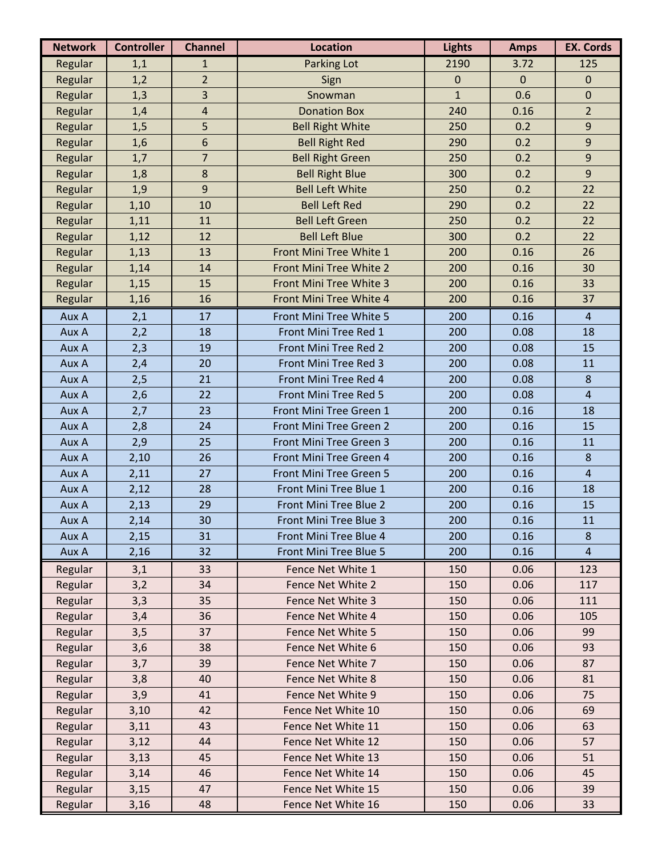| <b>Network</b> | <b>Controller</b> | <b>Channel</b> | <b>Location</b>         | <b>Lights</b> | <b>Amps</b> | <b>EX. Cords</b> |
|----------------|-------------------|----------------|-------------------------|---------------|-------------|------------------|
| Regular        | 1,1               | $\mathbf{1}$   | Parking Lot             | 2190          | 3.72        | 125              |
| Regular        | 1,2               | $\overline{2}$ | Sign                    | $\mathbf 0$   | $\mathbf 0$ | $\pmb{0}$        |
| Regular        | 1,3               | 3              | Snowman                 | $\mathbf{1}$  | 0.6         | $\boldsymbol{0}$ |
| Regular        | 1,4               | $\overline{a}$ | <b>Donation Box</b>     | 240           | 0.16        | $\overline{2}$   |
| Regular        | 1,5               | 5              | <b>Bell Right White</b> | 250           | 0.2         | $\boldsymbol{9}$ |
| Regular        | 1,6               | 6              | <b>Bell Right Red</b>   | 290           | 0.2         | $\mathsf 9$      |
| Regular        | 1,7               | $\overline{7}$ | <b>Bell Right Green</b> | 250           | 0.2         | $\mathbf{9}$     |
| Regular        | 1,8               | 8              | <b>Bell Right Blue</b>  | 300           | 0.2         | 9                |
| Regular        | 1,9               | $\mathbf{9}$   | <b>Bell Left White</b>  | 250           | 0.2         | 22               |
| Regular        | 1,10              | 10             | <b>Bell Left Red</b>    | 290           | 0.2         | 22               |
| Regular        | 1,11              | 11             | <b>Bell Left Green</b>  | 250           | 0.2         | 22               |
| Regular        | 1,12              | 12             | <b>Bell Left Blue</b>   | 300           | 0.2         | 22               |
| Regular        | 1,13              | 13             | Front Mini Tree White 1 | 200           | 0.16        | 26               |
| Regular        | 1,14              | 14             | Front Mini Tree White 2 | 200           | 0.16        | 30               |
| Regular        | 1,15              | 15             | Front Mini Tree White 3 | 200           | 0.16        | 33               |
| Regular        | 1,16              | 16             | Front Mini Tree White 4 | 200           | 0.16        | 37               |
| Aux A          | 2,1               | 17             | Front Mini Tree White 5 | 200           | 0.16        | $\overline{4}$   |
| Aux A          | 2,2               | 18             | Front Mini Tree Red 1   | 200           | 0.08        | 18               |
| Aux A          | 2,3               | 19             | Front Mini Tree Red 2   | 200           | 0.08        | 15               |
| Aux A          | 2,4               | 20             | Front Mini Tree Red 3   | 200           | 0.08        | 11               |
| Aux A          | 2,5               | 21             | Front Mini Tree Red 4   | 200           | 0.08        | 8                |
| Aux A          | 2,6               | 22             | Front Mini Tree Red 5   | 200           | 0.08        | $\overline{4}$   |
| Aux A          | 2,7               | 23             | Front Mini Tree Green 1 | 200           | 0.16        | 18               |
| Aux A          | 2,8               | 24             | Front Mini Tree Green 2 | 200           | 0.16        | 15               |
| Aux A          | 2,9               | 25             | Front Mini Tree Green 3 | 200           | 0.16        | 11               |
| Aux A          | 2,10              | 26             | Front Mini Tree Green 4 | 200           | 0.16        | 8                |
| Aux A          | 2,11              | 27             | Front Mini Tree Green 5 | 200           | 0.16        | $\overline{4}$   |
| Aux A          | 2,12              | 28             | Front Mini Tree Blue 1  | 200           | 0.16        | 18               |
| Aux A          | 2,13              | 29             | Front Mini Tree Blue 2  | 200           | 0.16        | 15               |
| Aux A          | 2,14              | 30             | Front Mini Tree Blue 3  | 200           | 0.16        | 11               |
| Aux A          | 2,15              | 31             | Front Mini Tree Blue 4  | 200           | 0.16        | 8                |
| Aux A          | 2,16              | 32             | Front Mini Tree Blue 5  | 200           | 0.16        | $\overline{4}$   |
| Regular        | 3,1               | 33             | Fence Net White 1       | 150           | 0.06        | 123              |
| Regular        | 3,2               | 34             | Fence Net White 2       | 150           | 0.06        | 117              |
| Regular        | 3,3               | 35             | Fence Net White 3       | 150           | 0.06        | 111              |
| Regular        | 3,4               | 36             | Fence Net White 4       | 150           | 0.06        | 105              |
| Regular        | 3,5               | 37             | Fence Net White 5       | 150           | 0.06        | 99               |
| Regular        | 3,6               | 38             | Fence Net White 6       | 150           | 0.06        | 93               |
| Regular        | 3,7               | 39             | Fence Net White 7       | 150           | 0.06        | 87               |
| Regular        | 3,8               | 40             | Fence Net White 8       | 150           | 0.06        | 81               |
| Regular        | 3,9               | 41             | Fence Net White 9       | 150           | 0.06        | 75               |
| Regular        | 3,10              | 42             | Fence Net White 10      | 150           | 0.06        | 69               |
| Regular        | 3,11              | 43             | Fence Net White 11      | 150           | 0.06        | 63               |
| Regular        | 3,12              | 44             | Fence Net White 12      | 150           | 0.06        | 57               |
| Regular        | 3,13              | 45             | Fence Net White 13      | 150           | 0.06        | 51               |
| Regular        | 3,14              | 46             | Fence Net White 14      | 150           | 0.06        | 45               |
| Regular        | 3,15              | 47             | Fence Net White 15      | 150           | 0.06        | 39               |
| Regular        | 3,16              | 48             | Fence Net White 16      | 150           | 0.06        | 33               |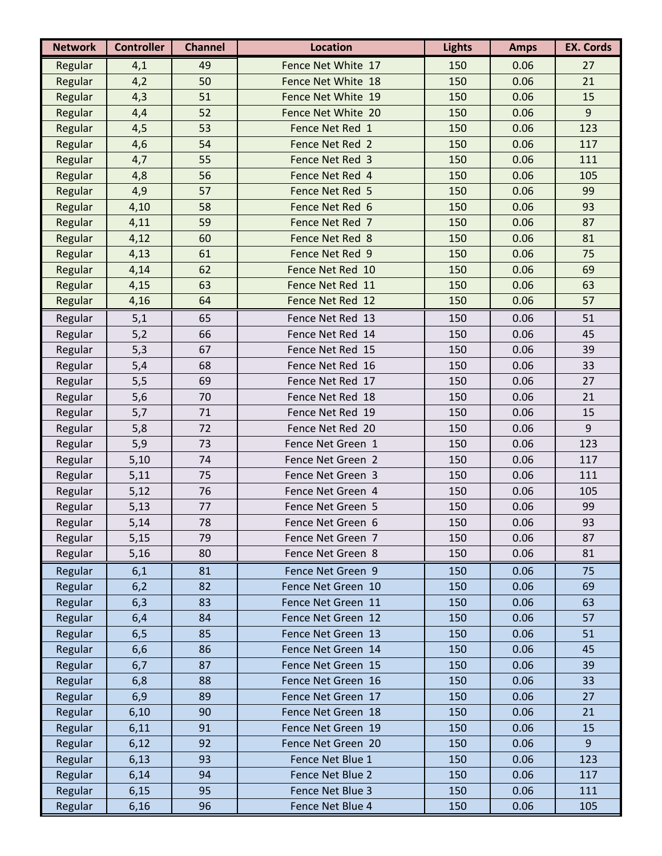| <b>Network</b> | <b>Controller</b> | <b>Channel</b> | <b>Location</b>    | <b>Lights</b> | <b>Amps</b> | <b>EX. Cords</b> |
|----------------|-------------------|----------------|--------------------|---------------|-------------|------------------|
| Regular        | 4,1               | 49             | Fence Net White 17 | 150           | 0.06        | 27               |
| Regular        | 4,2               | 50             | Fence Net White 18 | 150           | 0.06        | 21               |
| Regular        | 4,3               | 51             | Fence Net White 19 | 150           | 0.06        | 15               |
| Regular        | 4,4               | 52             | Fence Net White 20 | 150           | 0.06        | 9                |
| Regular        | 4,5               | 53             | Fence Net Red 1    | 150           | 0.06        | 123              |
| Regular        | 4,6               | 54             | Fence Net Red 2    | 150           | 0.06        | 117              |
| Regular        | 4,7               | 55             | Fence Net Red 3    | 150           | 0.06        | 111              |
| Regular        | 4,8               | 56             | Fence Net Red 4    | 150           | 0.06        | 105              |
| Regular        | 4,9               | 57             | Fence Net Red 5    | 150           | 0.06        | 99               |
| Regular        | 4,10              | 58             | Fence Net Red 6    | 150           | 0.06        | 93               |
| Regular        | 4,11              | 59             | Fence Net Red 7    | 150           | 0.06        | 87               |
| Regular        | 4,12              | 60             | Fence Net Red 8    | 150           | 0.06        | 81               |
| Regular        | 4,13              | 61             | Fence Net Red 9    | 150           | 0.06        | 75               |
| Regular        | 4,14              | 62             | Fence Net Red 10   | 150           | 0.06        | 69               |
| Regular        | 4,15              | 63             | Fence Net Red 11   | 150           | 0.06        | 63               |
| Regular        | 4,16              | 64             | Fence Net Red 12   | 150           | 0.06        | 57               |
| Regular        | 5,1               | 65             | Fence Net Red 13   | 150           | 0.06        | 51               |
| Regular        | 5,2               | 66             | Fence Net Red 14   | 150           | 0.06        | 45               |
| Regular        | 5,3               | 67             | Fence Net Red 15   | 150           | 0.06        | 39               |
| Regular        | 5,4               | 68             | Fence Net Red 16   | 150           | 0.06        | 33               |
| Regular        | 5,5               | 69             | Fence Net Red 17   | 150           | 0.06        | 27               |
| Regular        | 5,6               | 70             | Fence Net Red 18   | 150           | 0.06        | 21               |
| Regular        | 5,7               | 71             | Fence Net Red 19   | 150           | 0.06        | 15               |
| Regular        | 5,8               | 72             | Fence Net Red 20   | 150           | 0.06        | 9                |
| Regular        | 5,9               | 73             | Fence Net Green 1  | 150           | 0.06        | 123              |
| Regular        | 5,10              | 74             | Fence Net Green 2  | 150           | 0.06        | 117              |
| Regular        | 5,11              | 75             | Fence Net Green 3  | 150           | 0.06        | 111              |
| Regular        | 5,12              | 76             | Fence Net Green 4  | 150           | 0.06        | 105              |
| Regular        | 5,13              | 77             | Fence Net Green 5  | 150           | 0.06        | 99               |
| Regular        | 5,14              | 78             | Fence Net Green 6  | 150           | 0.06        | 93               |
| Regular        | 5,15              | 79             | Fence Net Green 7  | 150           | 0.06        | 87               |
| Regular        | 5,16              | 80             | Fence Net Green 8  | 150           | 0.06        | 81               |
| Regular        | 6,1               | 81             | Fence Net Green 9  | 150           | 0.06        | 75               |
| Regular        | 6,2               | 82             | Fence Net Green 10 | 150           | 0.06        | 69               |
| Regular        | 6,3               | 83             | Fence Net Green 11 | 150           | 0.06        | 63               |
| Regular        | 6,4               | 84             | Fence Net Green 12 | 150           | 0.06        | 57               |
| Regular        | 6,5               | 85             | Fence Net Green 13 | 150           | 0.06        | 51               |
| Regular        | 6,6               | 86             | Fence Net Green 14 | 150           | 0.06        | 45               |
| Regular        | 6,7               | 87             | Fence Net Green 15 | 150           | 0.06        | 39               |
| Regular        | 6,8               | 88             | Fence Net Green 16 | 150           | 0.06        | 33               |
| Regular        | 6,9               | 89             | Fence Net Green 17 | 150           | 0.06        | 27               |
| Regular        | 6,10              | 90             | Fence Net Green 18 | 150           | 0.06        | 21               |
| Regular        | 6,11              | 91             | Fence Net Green 19 | 150           | 0.06        | 15               |
| Regular        | 6,12              | 92             | Fence Net Green 20 | 150           | 0.06        | $\overline{9}$   |
| Regular        | 6,13              | 93             | Fence Net Blue 1   | 150           | 0.06        | 123              |
| Regular        | 6,14              | 94             | Fence Net Blue 2   | 150           | 0.06        | 117              |
| Regular        | 6,15              | 95             | Fence Net Blue 3   | 150           | 0.06        | 111              |
| Regular        | 6,16              | 96             | Fence Net Blue 4   | 150           | 0.06        | 105              |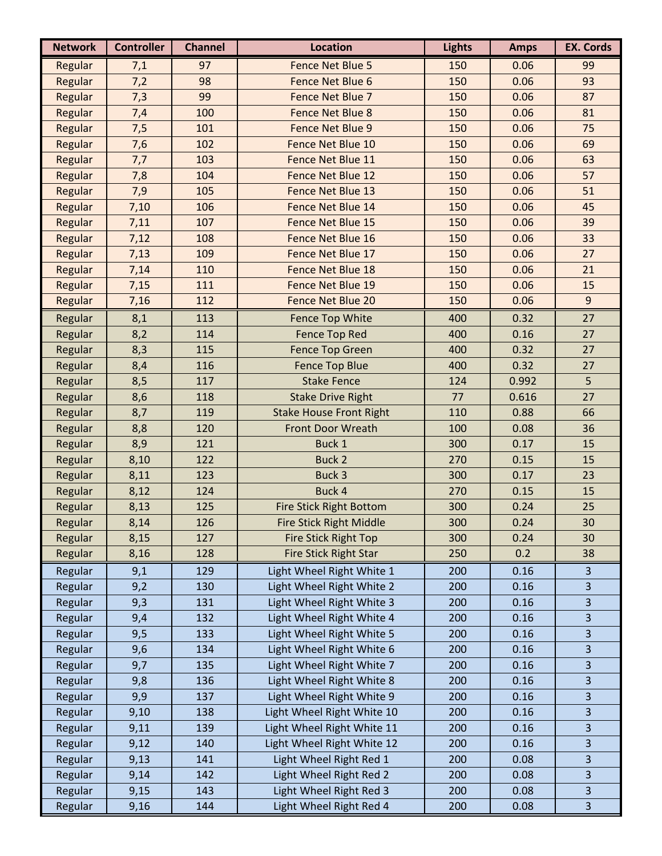| <b>Network</b> | <b>Controller</b> | <b>Channel</b> | <b>Location</b>                | <b>Lights</b> | <b>Amps</b> | <b>EX. Cords</b> |
|----------------|-------------------|----------------|--------------------------------|---------------|-------------|------------------|
| Regular        | 7,1               | 97             | <b>Fence Net Blue 5</b>        | 150           | 0.06        | 99               |
| Regular        | 7,2               | 98             | Fence Net Blue 6               | 150           | 0.06        | 93               |
| Regular        | 7,3               | 99             | Fence Net Blue 7               | 150           | 0.06        | 87               |
| Regular        | 7,4               | 100            | <b>Fence Net Blue 8</b>        | 150           | 0.06        | 81               |
| Regular        | 7,5               | 101            | Fence Net Blue 9               | 150           | 0.06        | 75               |
| Regular        | 7,6               | 102            | Fence Net Blue 10              | 150           | 0.06        | 69               |
| Regular        | 7,7               | 103            | Fence Net Blue 11              | 150           | 0.06        | 63               |
| Regular        | 7,8               | 104            | Fence Net Blue 12              | 150           | 0.06        | 57               |
| Regular        | 7,9               | 105            | Fence Net Blue 13              | 150           | 0.06        | 51               |
| Regular        | 7,10              | 106            | Fence Net Blue 14              | 150           | 0.06        | 45               |
| Regular        | 7,11              | 107            | Fence Net Blue 15              | 150           | 0.06        | 39               |
| Regular        | 7,12              | 108            | Fence Net Blue 16              | 150           | 0.06        | 33               |
| Regular        | 7,13              | 109            | Fence Net Blue 17              | 150           | 0.06        | 27               |
| Regular        | 7,14              | 110            | Fence Net Blue 18              | 150           | 0.06        | 21               |
| Regular        | 7,15              | 111            | Fence Net Blue 19              | 150           | 0.06        | 15               |
| Regular        | 7,16              | 112            | Fence Net Blue 20              | 150           | 0.06        | 9                |
| Regular        | 8,1               | 113            | <b>Fence Top White</b>         | 400           | 0.32        | 27               |
| Regular        | 8,2               | 114            | <b>Fence Top Red</b>           | 400           | 0.16        | 27               |
| Regular        | 8,3               | 115            | <b>Fence Top Green</b>         | 400           | 0.32        | 27               |
| Regular        | 8,4               | 116            | <b>Fence Top Blue</b>          | 400           | 0.32        | 27               |
| Regular        | 8,5               | 117            | <b>Stake Fence</b>             | 124           | 0.992       | 5                |
| Regular        | 8,6               | 118            | <b>Stake Drive Right</b>       | 77            | 0.616       | 27               |
| Regular        | 8,7               | 119            | <b>Stake House Front Right</b> | 110           | 0.88        | 66               |
| Regular        | 8,8               | 120            | <b>Front Door Wreath</b>       | 100           | 0.08        | 36               |
| Regular        | 8,9               | 121            | Buck 1                         | 300           | 0.17        | 15               |
| Regular        | 8,10              | 122            | <b>Buck 2</b>                  | 270           | 0.15        | 15               |
| Regular        | 8,11              | 123            | Buck 3                         | 300           | 0.17        | 23               |
| Regular        | 8,12              | 124            | Buck 4                         | 270           | 0.15        | 15               |
| Regular        | 8,13              | 125            | <b>Fire Stick Right Bottom</b> | 300           | 0.24        | 25               |
| Regular        | 8,14              | 126            | Fire Stick Right Middle        | 300           | 0.24        | 30               |
| Regular        | 8,15              | 127            | <b>Fire Stick Right Top</b>    | 300           | 0.24        | 30               |
| Regular        | 8,16              | 128            | Fire Stick Right Star          | 250           | 0.2         | 38               |
| Regular        | 9,1               | 129            | Light Wheel Right White 1      | 200           | 0.16        | 3                |
| Regular        | 9,2               | 130            | Light Wheel Right White 2      | 200           | 0.16        | 3                |
| Regular        | 9,3               | 131            | Light Wheel Right White 3      | 200           | 0.16        | 3                |
| Regular        | 9,4               | 132            | Light Wheel Right White 4      | 200           | 0.16        | 3                |
| Regular        | 9,5               | 133            | Light Wheel Right White 5      | 200           | 0.16        | 3                |
| Regular        | 9,6               | 134            | Light Wheel Right White 6      | 200           | 0.16        | 3                |
| Regular        | 9,7               | 135            | Light Wheel Right White 7      | 200           | 0.16        | 3                |
| Regular        | 9,8               | 136            | Light Wheel Right White 8      | 200           | 0.16        | 3                |
| Regular        | 9,9               | 137            | Light Wheel Right White 9      | 200           | 0.16        | 3                |
| Regular        | 9,10              | 138            | Light Wheel Right White 10     | 200           | 0.16        | 3                |
| Regular        | 9,11              | 139            | Light Wheel Right White 11     | 200           | 0.16        | 3                |
| Regular        | 9,12              | 140            | Light Wheel Right White 12     | 200           | 0.16        | 3                |
| Regular        | 9,13              | 141            | Light Wheel Right Red 1        | 200           | 0.08        | 3                |
| Regular        | 9,14              | 142            | Light Wheel Right Red 2        | 200           | 0.08        | 3                |
| Regular        | 9,15              | 143            | Light Wheel Right Red 3        | 200           | 0.08        | 3                |
| Regular        | 9,16              | 144            | Light Wheel Right Red 4        | 200           | 0.08        | $\mathbf{3}$     |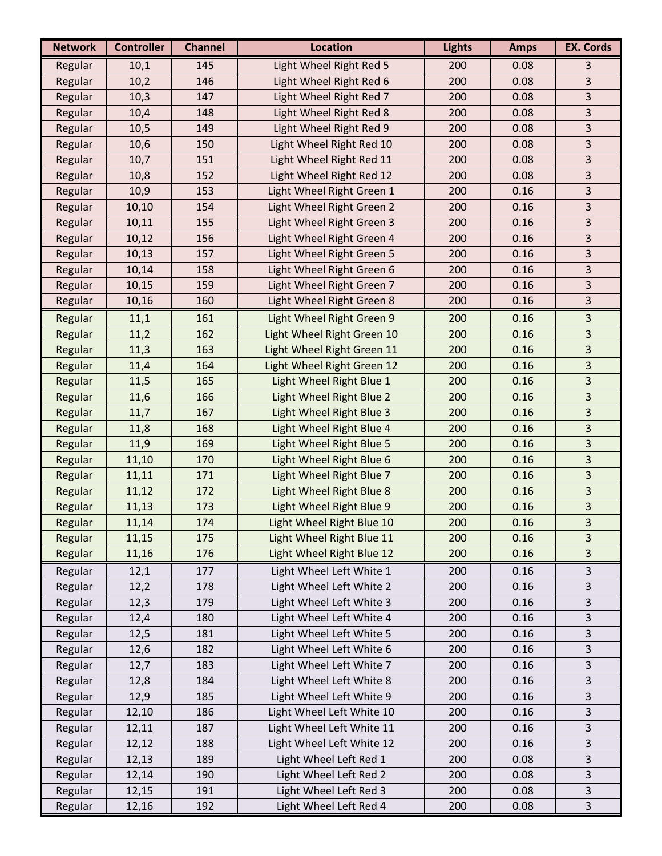| Light Wheel Right Red 5<br>200<br>Regular<br>10,1<br>145<br>0.08<br>3<br>146<br>Light Wheel Right Red 6<br>0.08<br>3<br>Regular<br>10,2<br>200<br>3<br>Light Wheel Right Red 7<br>Regular<br>147<br>200<br>0.08<br>10,3<br>Light Wheel Right Red 8<br>0.08<br>3<br>Regular<br>148<br>200<br>10,4<br>3<br>Regular<br>149<br>Light Wheel Right Red 9<br>200<br>0.08<br>10,5<br>3<br>Light Wheel Right Red 10<br>Regular<br>150<br>200<br>0.08<br>10,6<br>3<br>Light Wheel Right Red 11<br>Regular<br>10,7<br>151<br>200<br>0.08<br>Light Wheel Right Red 12<br>3<br>Regular<br>152<br>200<br>0.08<br>10,8<br>10,9<br>153<br>Light Wheel Right Green 1<br>3<br>Regular<br>200<br>0.16<br>$\overline{\mathbf{3}}$<br>Light Wheel Right Green 2<br>154<br>200<br>0.16<br>Regular<br>10,10<br>3<br>Light Wheel Right Green 3<br>Regular<br>10,11<br>155<br>200<br>0.16<br>3<br>Regular<br>156<br>Light Wheel Right Green 4<br>0.16<br>10,12<br>200<br>3<br>Regular<br>157<br>Light Wheel Right Green 5<br>200<br>0.16<br>10,13<br>3<br>158<br>Light Wheel Right Green 6<br>200<br>0.16<br>Regular<br>10,14<br>3<br>Regular<br>159<br>Light Wheel Right Green 7<br>200<br>0.16<br>10,15<br>3<br>160<br>Light Wheel Right Green 8<br>Regular<br>200<br>0.16<br>10,16<br>161<br>Light Wheel Right Green 9<br>200<br>0.16<br>3<br>Regular<br>11,1<br>162<br>Light Wheel Right Green 10<br>200<br>0.16<br>3<br>Regular<br>11,2<br>$\overline{\mathbf{3}}$<br>Light Wheel Right Green 11<br>Regular<br>163<br>200<br>0.16<br>11,3<br>3<br>164<br>Light Wheel Right Green 12<br>200<br>0.16<br>Regular<br>11,4<br>3<br>Regular<br>165<br>Light Wheel Right Blue 1<br>0.16<br>11,5<br>200<br>Light Wheel Right Blue 2<br>3<br>166<br>200<br>0.16<br>Regular<br>11,6<br>3<br>Regular<br>167<br>Light Wheel Right Blue 3<br>200<br>0.16<br>11,7<br>3<br>Regular<br>168<br>Light Wheel Right Blue 4<br>200<br>0.16<br>11,8<br>11,9<br>169<br>Light Wheel Right Blue 5<br>0.16<br>3<br>Regular<br>200<br>3<br>Light Wheel Right Blue 6<br>Regular<br>170<br>200<br>0.16<br>11,10<br>3<br>171<br>Light Wheel Right Blue 7<br>Regular<br>200<br>0.16<br>11,11<br>$\overline{3}$<br>Light Wheel Right Blue 8<br>Regular<br>11,12<br>172<br>200<br>0.16 |
|-----------------------------------------------------------------------------------------------------------------------------------------------------------------------------------------------------------------------------------------------------------------------------------------------------------------------------------------------------------------------------------------------------------------------------------------------------------------------------------------------------------------------------------------------------------------------------------------------------------------------------------------------------------------------------------------------------------------------------------------------------------------------------------------------------------------------------------------------------------------------------------------------------------------------------------------------------------------------------------------------------------------------------------------------------------------------------------------------------------------------------------------------------------------------------------------------------------------------------------------------------------------------------------------------------------------------------------------------------------------------------------------------------------------------------------------------------------------------------------------------------------------------------------------------------------------------------------------------------------------------------------------------------------------------------------------------------------------------------------------------------------------------------------------------------------------------------------------------------------------------------------------------------------------------------------------------------------------------------------------------------------------------------------------------------------------------------------------------------------------------------------------------------------------------------------------------------------------------------------|
|                                                                                                                                                                                                                                                                                                                                                                                                                                                                                                                                                                                                                                                                                                                                                                                                                                                                                                                                                                                                                                                                                                                                                                                                                                                                                                                                                                                                                                                                                                                                                                                                                                                                                                                                                                                                                                                                                                                                                                                                                                                                                                                                                                                                                                   |
|                                                                                                                                                                                                                                                                                                                                                                                                                                                                                                                                                                                                                                                                                                                                                                                                                                                                                                                                                                                                                                                                                                                                                                                                                                                                                                                                                                                                                                                                                                                                                                                                                                                                                                                                                                                                                                                                                                                                                                                                                                                                                                                                                                                                                                   |
|                                                                                                                                                                                                                                                                                                                                                                                                                                                                                                                                                                                                                                                                                                                                                                                                                                                                                                                                                                                                                                                                                                                                                                                                                                                                                                                                                                                                                                                                                                                                                                                                                                                                                                                                                                                                                                                                                                                                                                                                                                                                                                                                                                                                                                   |
|                                                                                                                                                                                                                                                                                                                                                                                                                                                                                                                                                                                                                                                                                                                                                                                                                                                                                                                                                                                                                                                                                                                                                                                                                                                                                                                                                                                                                                                                                                                                                                                                                                                                                                                                                                                                                                                                                                                                                                                                                                                                                                                                                                                                                                   |
|                                                                                                                                                                                                                                                                                                                                                                                                                                                                                                                                                                                                                                                                                                                                                                                                                                                                                                                                                                                                                                                                                                                                                                                                                                                                                                                                                                                                                                                                                                                                                                                                                                                                                                                                                                                                                                                                                                                                                                                                                                                                                                                                                                                                                                   |
|                                                                                                                                                                                                                                                                                                                                                                                                                                                                                                                                                                                                                                                                                                                                                                                                                                                                                                                                                                                                                                                                                                                                                                                                                                                                                                                                                                                                                                                                                                                                                                                                                                                                                                                                                                                                                                                                                                                                                                                                                                                                                                                                                                                                                                   |
|                                                                                                                                                                                                                                                                                                                                                                                                                                                                                                                                                                                                                                                                                                                                                                                                                                                                                                                                                                                                                                                                                                                                                                                                                                                                                                                                                                                                                                                                                                                                                                                                                                                                                                                                                                                                                                                                                                                                                                                                                                                                                                                                                                                                                                   |
|                                                                                                                                                                                                                                                                                                                                                                                                                                                                                                                                                                                                                                                                                                                                                                                                                                                                                                                                                                                                                                                                                                                                                                                                                                                                                                                                                                                                                                                                                                                                                                                                                                                                                                                                                                                                                                                                                                                                                                                                                                                                                                                                                                                                                                   |
|                                                                                                                                                                                                                                                                                                                                                                                                                                                                                                                                                                                                                                                                                                                                                                                                                                                                                                                                                                                                                                                                                                                                                                                                                                                                                                                                                                                                                                                                                                                                                                                                                                                                                                                                                                                                                                                                                                                                                                                                                                                                                                                                                                                                                                   |
|                                                                                                                                                                                                                                                                                                                                                                                                                                                                                                                                                                                                                                                                                                                                                                                                                                                                                                                                                                                                                                                                                                                                                                                                                                                                                                                                                                                                                                                                                                                                                                                                                                                                                                                                                                                                                                                                                                                                                                                                                                                                                                                                                                                                                                   |
|                                                                                                                                                                                                                                                                                                                                                                                                                                                                                                                                                                                                                                                                                                                                                                                                                                                                                                                                                                                                                                                                                                                                                                                                                                                                                                                                                                                                                                                                                                                                                                                                                                                                                                                                                                                                                                                                                                                                                                                                                                                                                                                                                                                                                                   |
|                                                                                                                                                                                                                                                                                                                                                                                                                                                                                                                                                                                                                                                                                                                                                                                                                                                                                                                                                                                                                                                                                                                                                                                                                                                                                                                                                                                                                                                                                                                                                                                                                                                                                                                                                                                                                                                                                                                                                                                                                                                                                                                                                                                                                                   |
|                                                                                                                                                                                                                                                                                                                                                                                                                                                                                                                                                                                                                                                                                                                                                                                                                                                                                                                                                                                                                                                                                                                                                                                                                                                                                                                                                                                                                                                                                                                                                                                                                                                                                                                                                                                                                                                                                                                                                                                                                                                                                                                                                                                                                                   |
|                                                                                                                                                                                                                                                                                                                                                                                                                                                                                                                                                                                                                                                                                                                                                                                                                                                                                                                                                                                                                                                                                                                                                                                                                                                                                                                                                                                                                                                                                                                                                                                                                                                                                                                                                                                                                                                                                                                                                                                                                                                                                                                                                                                                                                   |
|                                                                                                                                                                                                                                                                                                                                                                                                                                                                                                                                                                                                                                                                                                                                                                                                                                                                                                                                                                                                                                                                                                                                                                                                                                                                                                                                                                                                                                                                                                                                                                                                                                                                                                                                                                                                                                                                                                                                                                                                                                                                                                                                                                                                                                   |
|                                                                                                                                                                                                                                                                                                                                                                                                                                                                                                                                                                                                                                                                                                                                                                                                                                                                                                                                                                                                                                                                                                                                                                                                                                                                                                                                                                                                                                                                                                                                                                                                                                                                                                                                                                                                                                                                                                                                                                                                                                                                                                                                                                                                                                   |
|                                                                                                                                                                                                                                                                                                                                                                                                                                                                                                                                                                                                                                                                                                                                                                                                                                                                                                                                                                                                                                                                                                                                                                                                                                                                                                                                                                                                                                                                                                                                                                                                                                                                                                                                                                                                                                                                                                                                                                                                                                                                                                                                                                                                                                   |
|                                                                                                                                                                                                                                                                                                                                                                                                                                                                                                                                                                                                                                                                                                                                                                                                                                                                                                                                                                                                                                                                                                                                                                                                                                                                                                                                                                                                                                                                                                                                                                                                                                                                                                                                                                                                                                                                                                                                                                                                                                                                                                                                                                                                                                   |
|                                                                                                                                                                                                                                                                                                                                                                                                                                                                                                                                                                                                                                                                                                                                                                                                                                                                                                                                                                                                                                                                                                                                                                                                                                                                                                                                                                                                                                                                                                                                                                                                                                                                                                                                                                                                                                                                                                                                                                                                                                                                                                                                                                                                                                   |
|                                                                                                                                                                                                                                                                                                                                                                                                                                                                                                                                                                                                                                                                                                                                                                                                                                                                                                                                                                                                                                                                                                                                                                                                                                                                                                                                                                                                                                                                                                                                                                                                                                                                                                                                                                                                                                                                                                                                                                                                                                                                                                                                                                                                                                   |
|                                                                                                                                                                                                                                                                                                                                                                                                                                                                                                                                                                                                                                                                                                                                                                                                                                                                                                                                                                                                                                                                                                                                                                                                                                                                                                                                                                                                                                                                                                                                                                                                                                                                                                                                                                                                                                                                                                                                                                                                                                                                                                                                                                                                                                   |
|                                                                                                                                                                                                                                                                                                                                                                                                                                                                                                                                                                                                                                                                                                                                                                                                                                                                                                                                                                                                                                                                                                                                                                                                                                                                                                                                                                                                                                                                                                                                                                                                                                                                                                                                                                                                                                                                                                                                                                                                                                                                                                                                                                                                                                   |
|                                                                                                                                                                                                                                                                                                                                                                                                                                                                                                                                                                                                                                                                                                                                                                                                                                                                                                                                                                                                                                                                                                                                                                                                                                                                                                                                                                                                                                                                                                                                                                                                                                                                                                                                                                                                                                                                                                                                                                                                                                                                                                                                                                                                                                   |
|                                                                                                                                                                                                                                                                                                                                                                                                                                                                                                                                                                                                                                                                                                                                                                                                                                                                                                                                                                                                                                                                                                                                                                                                                                                                                                                                                                                                                                                                                                                                                                                                                                                                                                                                                                                                                                                                                                                                                                                                                                                                                                                                                                                                                                   |
|                                                                                                                                                                                                                                                                                                                                                                                                                                                                                                                                                                                                                                                                                                                                                                                                                                                                                                                                                                                                                                                                                                                                                                                                                                                                                                                                                                                                                                                                                                                                                                                                                                                                                                                                                                                                                                                                                                                                                                                                                                                                                                                                                                                                                                   |
|                                                                                                                                                                                                                                                                                                                                                                                                                                                                                                                                                                                                                                                                                                                                                                                                                                                                                                                                                                                                                                                                                                                                                                                                                                                                                                                                                                                                                                                                                                                                                                                                                                                                                                                                                                                                                                                                                                                                                                                                                                                                                                                                                                                                                                   |
|                                                                                                                                                                                                                                                                                                                                                                                                                                                                                                                                                                                                                                                                                                                                                                                                                                                                                                                                                                                                                                                                                                                                                                                                                                                                                                                                                                                                                                                                                                                                                                                                                                                                                                                                                                                                                                                                                                                                                                                                                                                                                                                                                                                                                                   |
|                                                                                                                                                                                                                                                                                                                                                                                                                                                                                                                                                                                                                                                                                                                                                                                                                                                                                                                                                                                                                                                                                                                                                                                                                                                                                                                                                                                                                                                                                                                                                                                                                                                                                                                                                                                                                                                                                                                                                                                                                                                                                                                                                                                                                                   |
| 3<br>Light Wheel Right Blue 9<br>Regular<br>173<br>200<br>0.16<br>11,13                                                                                                                                                                                                                                                                                                                                                                                                                                                                                                                                                                                                                                                                                                                                                                                                                                                                                                                                                                                                                                                                                                                                                                                                                                                                                                                                                                                                                                                                                                                                                                                                                                                                                                                                                                                                                                                                                                                                                                                                                                                                                                                                                           |
| 3<br>174<br>200<br>0.16<br>11,14<br>Light Wheel Right Blue 10<br>Regular                                                                                                                                                                                                                                                                                                                                                                                                                                                                                                                                                                                                                                                                                                                                                                                                                                                                                                                                                                                                                                                                                                                                                                                                                                                                                                                                                                                                                                                                                                                                                                                                                                                                                                                                                                                                                                                                                                                                                                                                                                                                                                                                                          |
| 3<br>175<br>Light Wheel Right Blue 11<br>0.16<br>Regular<br>11,15<br>200                                                                                                                                                                                                                                                                                                                                                                                                                                                                                                                                                                                                                                                                                                                                                                                                                                                                                                                                                                                                                                                                                                                                                                                                                                                                                                                                                                                                                                                                                                                                                                                                                                                                                                                                                                                                                                                                                                                                                                                                                                                                                                                                                          |
| 176<br>Light Wheel Right Blue 12<br>3<br>Regular<br>200<br>0.16<br>11,16                                                                                                                                                                                                                                                                                                                                                                                                                                                                                                                                                                                                                                                                                                                                                                                                                                                                                                                                                                                                                                                                                                                                                                                                                                                                                                                                                                                                                                                                                                                                                                                                                                                                                                                                                                                                                                                                                                                                                                                                                                                                                                                                                          |
| Light Wheel Left White 1<br>3<br>Regular<br>12,1<br>177<br>200<br>0.16                                                                                                                                                                                                                                                                                                                                                                                                                                                                                                                                                                                                                                                                                                                                                                                                                                                                                                                                                                                                                                                                                                                                                                                                                                                                                                                                                                                                                                                                                                                                                                                                                                                                                                                                                                                                                                                                                                                                                                                                                                                                                                                                                            |
| 178<br>Light Wheel Left White 2<br>0.16<br>Regular<br>12,2<br>200<br>3                                                                                                                                                                                                                                                                                                                                                                                                                                                                                                                                                                                                                                                                                                                                                                                                                                                                                                                                                                                                                                                                                                                                                                                                                                                                                                                                                                                                                                                                                                                                                                                                                                                                                                                                                                                                                                                                                                                                                                                                                                                                                                                                                            |
| 3<br>Light Wheel Left White 3<br>Regular<br>179<br>200<br>0.16<br>12,3                                                                                                                                                                                                                                                                                                                                                                                                                                                                                                                                                                                                                                                                                                                                                                                                                                                                                                                                                                                                                                                                                                                                                                                                                                                                                                                                                                                                                                                                                                                                                                                                                                                                                                                                                                                                                                                                                                                                                                                                                                                                                                                                                            |
| Light Wheel Left White 4<br>3<br>Regular<br>180<br>200<br>0.16<br>12,4                                                                                                                                                                                                                                                                                                                                                                                                                                                                                                                                                                                                                                                                                                                                                                                                                                                                                                                                                                                                                                                                                                                                                                                                                                                                                                                                                                                                                                                                                                                                                                                                                                                                                                                                                                                                                                                                                                                                                                                                                                                                                                                                                            |
| 3<br>Regular<br>181<br>Light Wheel Left White 5<br>0.16<br>12,5<br>200                                                                                                                                                                                                                                                                                                                                                                                                                                                                                                                                                                                                                                                                                                                                                                                                                                                                                                                                                                                                                                                                                                                                                                                                                                                                                                                                                                                                                                                                                                                                                                                                                                                                                                                                                                                                                                                                                                                                                                                                                                                                                                                                                            |
| Regular<br>182<br>Light Wheel Left White 6<br>200<br>0.16<br>3<br>12,6                                                                                                                                                                                                                                                                                                                                                                                                                                                                                                                                                                                                                                                                                                                                                                                                                                                                                                                                                                                                                                                                                                                                                                                                                                                                                                                                                                                                                                                                                                                                                                                                                                                                                                                                                                                                                                                                                                                                                                                                                                                                                                                                                            |
| Light Wheel Left White 7<br>3<br>Regular<br>12,7<br>183<br>200<br>0.16                                                                                                                                                                                                                                                                                                                                                                                                                                                                                                                                                                                                                                                                                                                                                                                                                                                                                                                                                                                                                                                                                                                                                                                                                                                                                                                                                                                                                                                                                                                                                                                                                                                                                                                                                                                                                                                                                                                                                                                                                                                                                                                                                            |
| Light Wheel Left White 8<br>$\ensuremath{\mathsf{3}}$<br>Regular<br>184<br>200<br>0.16<br>12,8                                                                                                                                                                                                                                                                                                                                                                                                                                                                                                                                                                                                                                                                                                                                                                                                                                                                                                                                                                                                                                                                                                                                                                                                                                                                                                                                                                                                                                                                                                                                                                                                                                                                                                                                                                                                                                                                                                                                                                                                                                                                                                                                    |
| 3<br>185<br>Regular<br>12,9<br>Light Wheel Left White 9<br>200<br>0.16                                                                                                                                                                                                                                                                                                                                                                                                                                                                                                                                                                                                                                                                                                                                                                                                                                                                                                                                                                                                                                                                                                                                                                                                                                                                                                                                                                                                                                                                                                                                                                                                                                                                                                                                                                                                                                                                                                                                                                                                                                                                                                                                                            |
| 3<br>186<br>Light Wheel Left White 10<br>0.16<br>Regular<br>12,10<br>200                                                                                                                                                                                                                                                                                                                                                                                                                                                                                                                                                                                                                                                                                                                                                                                                                                                                                                                                                                                                                                                                                                                                                                                                                                                                                                                                                                                                                                                                                                                                                                                                                                                                                                                                                                                                                                                                                                                                                                                                                                                                                                                                                          |
| Light Wheel Left White 11<br>Regular<br>187<br>200<br>0.16<br>3<br>12,11                                                                                                                                                                                                                                                                                                                                                                                                                                                                                                                                                                                                                                                                                                                                                                                                                                                                                                                                                                                                                                                                                                                                                                                                                                                                                                                                                                                                                                                                                                                                                                                                                                                                                                                                                                                                                                                                                                                                                                                                                                                                                                                                                          |
| 3<br>Regular<br>188<br>Light Wheel Left White 12<br>200<br>0.16<br>12,12                                                                                                                                                                                                                                                                                                                                                                                                                                                                                                                                                                                                                                                                                                                                                                                                                                                                                                                                                                                                                                                                                                                                                                                                                                                                                                                                                                                                                                                                                                                                                                                                                                                                                                                                                                                                                                                                                                                                                                                                                                                                                                                                                          |
| 189<br>Light Wheel Left Red 1<br>0.08<br>3<br>Regular<br>200<br>12,13                                                                                                                                                                                                                                                                                                                                                                                                                                                                                                                                                                                                                                                                                                                                                                                                                                                                                                                                                                                                                                                                                                                                                                                                                                                                                                                                                                                                                                                                                                                                                                                                                                                                                                                                                                                                                                                                                                                                                                                                                                                                                                                                                             |
| Light Wheel Left Red 2<br>3<br>Regular<br>190<br>200<br>0.08<br>12,14                                                                                                                                                                                                                                                                                                                                                                                                                                                                                                                                                                                                                                                                                                                                                                                                                                                                                                                                                                                                                                                                                                                                                                                                                                                                                                                                                                                                                                                                                                                                                                                                                                                                                                                                                                                                                                                                                                                                                                                                                                                                                                                                                             |
| Light Wheel Left Red 3<br>3<br>Regular<br>191<br>200<br>0.08<br>12,15                                                                                                                                                                                                                                                                                                                                                                                                                                                                                                                                                                                                                                                                                                                                                                                                                                                                                                                                                                                                                                                                                                                                                                                                                                                                                                                                                                                                                                                                                                                                                                                                                                                                                                                                                                                                                                                                                                                                                                                                                                                                                                                                                             |
| Regular<br>192<br>Light Wheel Left Red 4<br>200<br>0.08<br>3<br>12,16                                                                                                                                                                                                                                                                                                                                                                                                                                                                                                                                                                                                                                                                                                                                                                                                                                                                                                                                                                                                                                                                                                                                                                                                                                                                                                                                                                                                                                                                                                                                                                                                                                                                                                                                                                                                                                                                                                                                                                                                                                                                                                                                                             |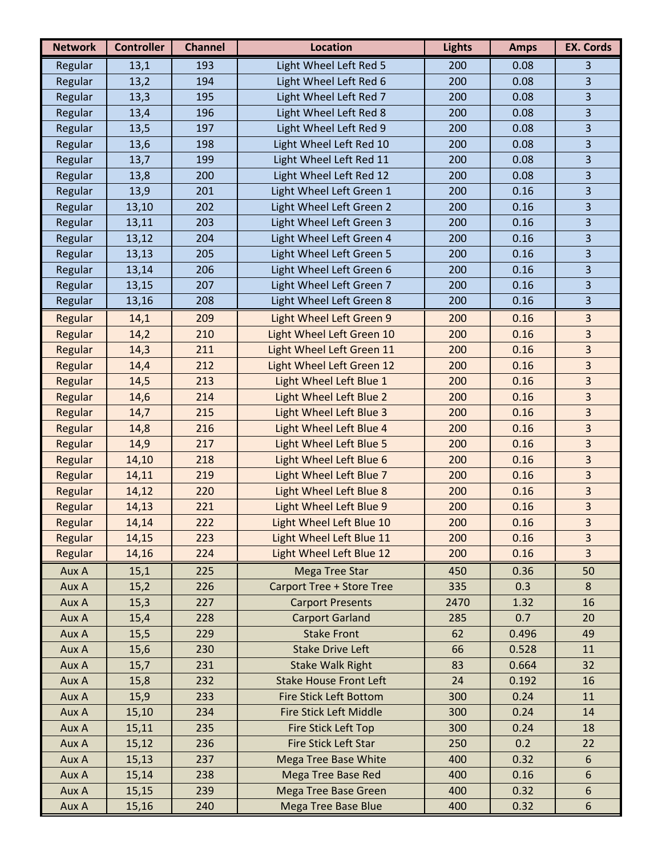| <b>Network</b> | <b>Controller</b> | <b>Channel</b> | <b>Location</b>                  | <b>Lights</b> | <b>Amps</b> | <b>EX. Cords</b>        |
|----------------|-------------------|----------------|----------------------------------|---------------|-------------|-------------------------|
| Regular        | 13,1              | 193            | Light Wheel Left Red 5           | 200           | 0.08        | 3                       |
| Regular        | 13,2              | 194            | Light Wheel Left Red 6           | 200           | 0.08        | 3                       |
| Regular        | 13,3              | 195            | Light Wheel Left Red 7           | 200           | 0.08        | $\overline{3}$          |
| Regular        | 13,4              | 196            | Light Wheel Left Red 8           | 200           | 0.08        | 3                       |
| Regular        | 13,5              | 197            | Light Wheel Left Red 9           | 200           | 0.08        | $\overline{3}$          |
| Regular        | 13,6              | 198            | Light Wheel Left Red 10          | 200           | 0.08        | 3                       |
| Regular        | 13,7              | 199            | Light Wheel Left Red 11          | 200           | 0.08        | 3                       |
| Regular        | 13,8              | 200            | Light Wheel Left Red 12          | 200           | 0.08        | 3                       |
| Regular        | 13,9              | 201            | Light Wheel Left Green 1         | 200           | 0.16        | 3                       |
| Regular        | 13,10             | 202            | Light Wheel Left Green 2         | 200           | 0.16        | 3                       |
| Regular        | 13,11             | 203            | Light Wheel Left Green 3         | 200           | 0.16        | 3                       |
| Regular        | 13,12             | 204            | Light Wheel Left Green 4         | 200           | 0.16        | 3                       |
| Regular        | 13,13             | 205            | Light Wheel Left Green 5         | 200           | 0.16        | 3                       |
| Regular        | 13,14             | 206            | Light Wheel Left Green 6         | 200           | 0.16        | $\overline{3}$          |
| Regular        | 13,15             | 207            | Light Wheel Left Green 7         | 200           | 0.16        | 3                       |
| Regular        | 13,16             | 208            | Light Wheel Left Green 8         | 200           | 0.16        | 3                       |
| Regular        | 14,1              | 209            | Light Wheel Left Green 9         | 200           | 0.16        | 3                       |
| Regular        | 14,2              | 210            | Light Wheel Left Green 10        | 200           | 0.16        | 3                       |
| Regular        | 14,3              | 211            | Light Wheel Left Green 11        | 200           | 0.16        | 3                       |
| Regular        | 14,4              | 212            | Light Wheel Left Green 12        | 200           | 0.16        | 3                       |
| Regular        | 14,5              | 213            | Light Wheel Left Blue 1          | 200           | 0.16        | 3                       |
| Regular        | 14,6              | 214            | Light Wheel Left Blue 2          | 200           | 0.16        | 3                       |
| Regular        | 14,7              | 215            | Light Wheel Left Blue 3          | 200           | 0.16        | 3                       |
| Regular        | 14,8              | 216            | Light Wheel Left Blue 4          | 200           | 0.16        | $\overline{\mathbf{3}}$ |
| Regular        | 14,9              | 217            | Light Wheel Left Blue 5          | 200           | 0.16        | 3                       |
| Regular        | 14,10             | 218            | Light Wheel Left Blue 6          | 200           | 0.16        | 3                       |
| Regular        | 14,11             | 219            | Light Wheel Left Blue 7          | 200           | 0.16        | 3                       |
| Regular        | 14,12             | 220            | Light Wheel Left Blue 8          | 200           | 0.16        | 3                       |
| Regular        | 14,13             | 221            | Light Wheel Left Blue 9          | 200           | 0.16        | $\overline{\mathbf{3}}$ |
| Regular        | 14,14             | 222            | Light Wheel Left Blue 10         | 200           | 0.16        | 3                       |
| Regular        | 14,15             | 223            | Light Wheel Left Blue 11         | 200           | 0.16        | 3                       |
| Regular        | 14,16             | 224            | Light Wheel Left Blue 12         | 200           | 0.16        | 3                       |
| Aux A          | 15,1              | 225            | <b>Mega Tree Star</b>            | 450           | 0.36        | 50                      |
| Aux A          | 15,2              | 226            | <b>Carport Tree + Store Tree</b> | 335           | 0.3         | 8                       |
| Aux A          | 15,3              | 227            | <b>Carport Presents</b>          | 2470          | 1.32        | 16                      |
| Aux A          | 15,4              | 228            | <b>Carport Garland</b>           | 285           | 0.7         | 20                      |
| Aux A          | 15,5              | 229            | <b>Stake Front</b>               | 62            | 0.496       | 49                      |
| Aux A          | 15,6              | 230            | <b>Stake Drive Left</b>          | 66            | 0.528       | 11                      |
| Aux A          | 15,7              | 231            | <b>Stake Walk Right</b>          | 83            | 0.664       | 32                      |
| Aux A          | 15,8              | 232            | <b>Stake House Front Left</b>    | 24            | 0.192       | 16                      |
| Aux A          | 15,9              | 233            | <b>Fire Stick Left Bottom</b>    | 300           | 0.24        | 11                      |
| Aux A          | 15,10             | 234            | <b>Fire Stick Left Middle</b>    | 300           | 0.24        | 14                      |
| Aux A          | 15,11             | 235            | Fire Stick Left Top              | 300           | 0.24        | 18                      |
| Aux A          | 15,12             | 236            | Fire Stick Left Star             | 250           | 0.2         | 22                      |
| Aux A          | 15,13             | 237            | <b>Mega Tree Base White</b>      | 400           | 0.32        | $\boldsymbol{6}$        |
| Aux A          | 15,14             | 238            | <b>Mega Tree Base Red</b>        | 400           | 0.16        | 6                       |
| Aux A          | 15,15             | 239            | <b>Mega Tree Base Green</b>      | 400           | 0.32        | 6                       |
| Aux A          | 15,16             | 240            | <b>Mega Tree Base Blue</b>       | 400           | 0.32        | $\boldsymbol{6}$        |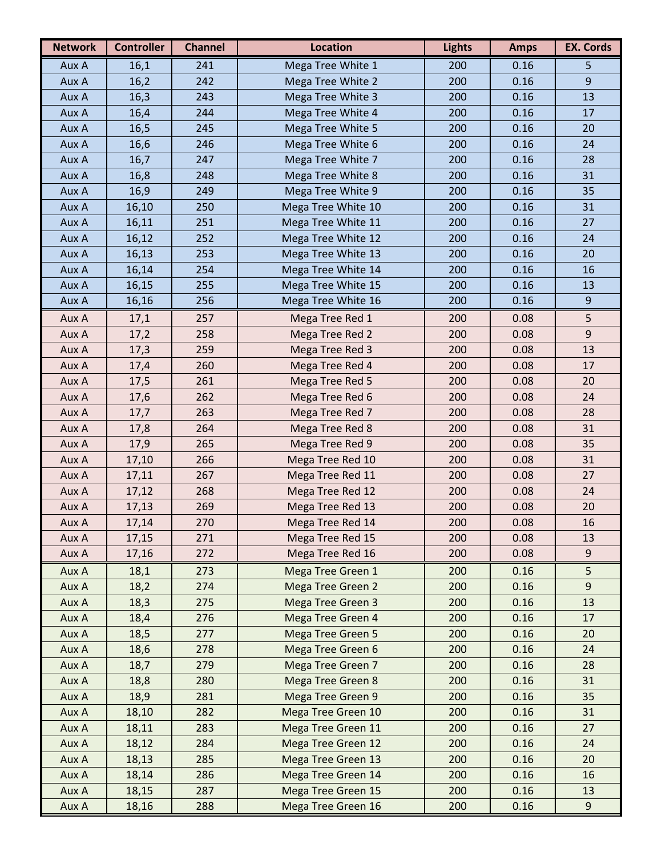| <b>Network</b> | <b>Controller</b> | <b>Channel</b> | <b>Location</b>           | <b>Lights</b> | <b>Amps</b> | <b>EX. Cords</b> |
|----------------|-------------------|----------------|---------------------------|---------------|-------------|------------------|
| Aux A          | 16,1              | 241            | Mega Tree White 1         | 200           | 0.16        | 5                |
| Aux A          | 16,2              | 242            | Mega Tree White 2         | 200           | 0.16        | $\overline{9}$   |
| Aux A          | 16,3              | 243            | Mega Tree White 3         | 200           | 0.16        | 13               |
| Aux A          | 16,4              | 244            | Mega Tree White 4         | 200           | 0.16        | 17               |
| Aux A          | 16,5              | 245            | Mega Tree White 5         | 200           | 0.16        | 20               |
| Aux A          | 16,6              | 246            | Mega Tree White 6         | 200           | 0.16        | 24               |
| Aux A          | 16,7              | 247            | Mega Tree White 7         | 200           | 0.16        | 28               |
| Aux A          | 16,8              | 248            | Mega Tree White 8         | 200           | 0.16        | 31               |
| Aux A          | 16,9              | 249            | Mega Tree White 9         | 200           | 0.16        | 35               |
| Aux A          | 16,10             | 250            | Mega Tree White 10        | 200           | 0.16        | 31               |
| Aux A          | 16,11             | 251            | Mega Tree White 11        | 200           | 0.16        | 27               |
| Aux A          | 16,12             | 252            | Mega Tree White 12        | 200           | 0.16        | 24               |
| Aux A          | 16,13             | 253            | Mega Tree White 13        | 200           | 0.16        | 20               |
| Aux A          | 16,14             | 254            | Mega Tree White 14        | 200           | 0.16        | 16               |
| Aux A          | 16,15             | 255            | Mega Tree White 15        | 200           | 0.16        | 13               |
| Aux A          | 16,16             | 256            | Mega Tree White 16        | 200           | 0.16        | $\overline{9}$   |
| Aux A          | 17,1              | 257            | Mega Tree Red 1           | 200           | 0.08        | 5                |
| Aux A          | 17,2              | 258            | Mega Tree Red 2           | 200           | 0.08        | $9$              |
| Aux A          | 17,3              | 259            | Mega Tree Red 3           | 200           | 0.08        | 13               |
| Aux A          | 17,4              | 260            | Mega Tree Red 4           | 200           | 0.08        | 17               |
| Aux A          | 17,5              | 261            | Mega Tree Red 5           | 200           | 0.08        | 20               |
| Aux A          | 17,6              | 262            | Mega Tree Red 6           | 200           | 0.08        | 24               |
| Aux A          | 17,7              | 263            | Mega Tree Red 7           | 200           | 0.08        | 28               |
| Aux A          | 17,8              | 264            | Mega Tree Red 8           | 200           | 0.08        | 31               |
| Aux A          | 17,9              | 265            | Mega Tree Red 9           | 200           | 0.08        | 35               |
| Aux A          | 17,10             | 266            | Mega Tree Red 10          | 200           | 0.08        | 31               |
| Aux A          | 17,11             | 267            | Mega Tree Red 11          | 200           | 0.08        | 27               |
| Aux A          | 17,12             | 268            | Mega Tree Red 12          | 200           | 0.08        | 24               |
| Aux A          | 17,13             | 269            | Mega Tree Red 13          | 200           | 0.08        | 20               |
| Aux A          | 17,14             | 270            | Mega Tree Red 14          | 200           | 0.08        | 16               |
| Aux A          | 17,15             | 271            | Mega Tree Red 15          | 200           | 0.08        | 13               |
| Aux A          | 17,16             | 272            | Mega Tree Red 16          | 200           | 0.08        | $9\,$            |
| Aux A          | 18,1              | 273            | Mega Tree Green 1         | 200           | 0.16        | 5                |
| Aux A          | 18,2              | 274            | Mega Tree Green 2         | 200           | 0.16        | 9                |
| Aux A          | 18,3              | 275            | <b>Mega Tree Green 3</b>  | 200           | 0.16        | 13               |
| Aux A          | 18,4              | 276            | Mega Tree Green 4         | 200           | 0.16        | 17               |
| Aux A          | 18,5              | 277            | <b>Mega Tree Green 5</b>  | 200           | 0.16        | 20               |
| Aux A          | 18,6              | 278            | Mega Tree Green 6         | 200           | 0.16        | 24               |
| Aux A          | 18,7              | 279            | Mega Tree Green 7         | 200           | 0.16        | 28               |
| Aux A          | 18,8              | 280            | Mega Tree Green 8         | 200           | 0.16        | 31               |
| Aux A          | 18,9              | 281            | Mega Tree Green 9         | 200           | 0.16        | 35               |
| Aux A          | 18,10             | 282            | Mega Tree Green 10        | 200           | 0.16        | 31               |
| Aux A          | 18,11             | 283            | Mega Tree Green 11        | 200           | 0.16        | 27               |
| Aux A          | 18,12             | 284            | Mega Tree Green 12        | 200           | 0.16        | 24               |
| Aux A          | 18,13             | 285            | <b>Mega Tree Green 13</b> | 200           | 0.16        | 20               |
| Aux A          | 18,14             | 286            | Mega Tree Green 14        | 200           | 0.16        | 16               |
| Aux A          | 18,15             | 287            | Mega Tree Green 15        | 200           | 0.16        | 13               |
| Aux A          | 18,16             | 288            | Mega Tree Green 16        | 200           | 0.16        | $9$              |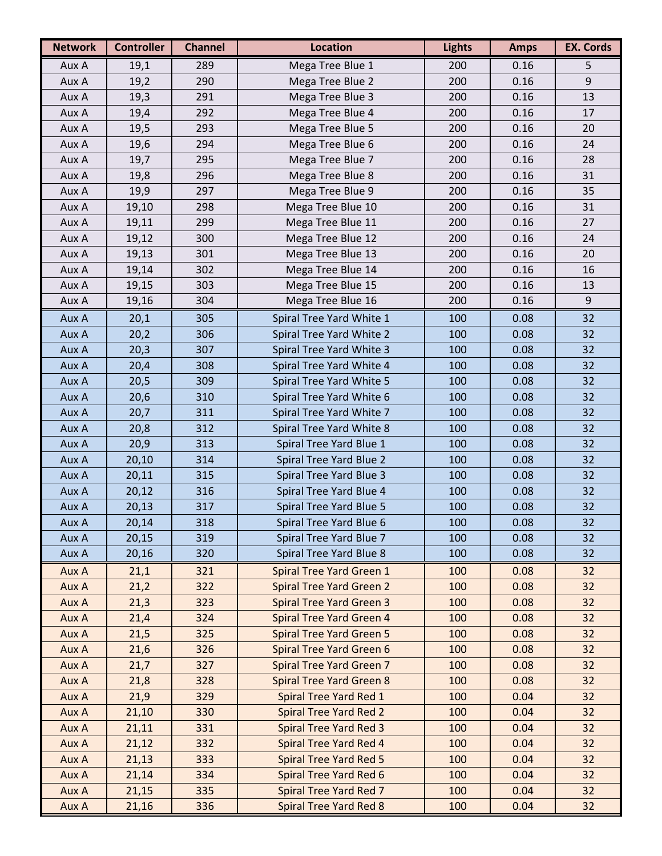| <b>Network</b> | <b>Controller</b> | <b>Channel</b> | <b>Location</b>                 | <b>Lights</b> | <b>Amps</b> | <b>EX. Cords</b> |
|----------------|-------------------|----------------|---------------------------------|---------------|-------------|------------------|
| Aux A          | 19,1              | 289            | Mega Tree Blue 1                | 200           | 0.16        | 5                |
| Aux A          | 19,2              | 290            | Mega Tree Blue 2                | 200           | 0.16        | $9\,$            |
| Aux A          | 19,3              | 291            | Mega Tree Blue 3                | 200           | 0.16        | 13               |
| Aux A          | 19,4              | 292            | Mega Tree Blue 4                | 200           | 0.16        | 17               |
| Aux A          | 19,5              | 293            | Mega Tree Blue 5                | 200           | 0.16        | 20               |
| Aux A          | 19,6              | 294            | Mega Tree Blue 6                | 200           | 0.16        | 24               |
| Aux A          | 19,7              | 295            | Mega Tree Blue 7                | 200           | 0.16        | 28               |
| Aux A          | 19,8              | 296            | Mega Tree Blue 8                | 200           | 0.16        | 31               |
| Aux A          | 19,9              | 297            | Mega Tree Blue 9                | 200           | 0.16        | 35               |
| Aux A          | 19,10             | 298            | Mega Tree Blue 10               | 200           | 0.16        | 31               |
| Aux A          | 19,11             | 299            | Mega Tree Blue 11               | 200           | 0.16        | 27               |
| Aux A          | 19,12             | 300            | Mega Tree Blue 12               | 200           | 0.16        | 24               |
| Aux A          | 19,13             | 301            | Mega Tree Blue 13               | 200           | 0.16        | 20               |
| Aux A          | 19,14             | 302            | Mega Tree Blue 14               | 200           | 0.16        | 16               |
| Aux A          | 19,15             | 303            | Mega Tree Blue 15               | 200           | 0.16        | 13               |
| Aux A          | 19,16             | 304            | Mega Tree Blue 16               | 200           | 0.16        | $9\,$            |
| Aux A          | 20,1              | 305            | Spiral Tree Yard White 1        | 100           | 0.08        | 32               |
| Aux A          | 20,2              | 306            | Spiral Tree Yard White 2        | 100           | 0.08        | 32               |
| Aux A          | 20,3              | 307            | Spiral Tree Yard White 3        | 100           | 0.08        | 32               |
| Aux A          | 20,4              | 308            | Spiral Tree Yard White 4        | 100           | 0.08        | 32               |
| Aux A          | 20,5              | 309            | Spiral Tree Yard White 5        | 100           | 0.08        | 32               |
| Aux A          | 20,6              | 310            | Spiral Tree Yard White 6        | 100           | 0.08        | 32               |
| Aux A          | 20,7              | 311            | Spiral Tree Yard White 7        | 100           | 0.08        | 32               |
| Aux A          | 20,8              | 312            | Spiral Tree Yard White 8        | 100           | 0.08        | 32               |
| Aux A          | 20,9              | 313            | Spiral Tree Yard Blue 1         | 100           | 0.08        | 32               |
| Aux A          | 20,10             | 314            | Spiral Tree Yard Blue 2         | 100           | 0.08        | 32               |
| Aux A          | 20,11             | 315            | Spiral Tree Yard Blue 3         | 100           | 0.08        | 32               |
| Aux A          | 20,12             | 316            | Spiral Tree Yard Blue 4         | 100           | 0.08        | 32               |
| Aux A          | 20,13             | 317            | Spiral Tree Yard Blue 5         | 100           | 0.08        | 32               |
| Aux A          | 20,14             | 318            | Spiral Tree Yard Blue 6         | 100           | 0.08        | 32               |
| Aux A          | 20,15             | 319            | Spiral Tree Yard Blue 7         | 100           | 0.08        | 32               |
| Aux A          | 20,16             | 320            | Spiral Tree Yard Blue 8         | 100           | 0.08        | 32               |
| Aux A          | 21,1              | 321            | Spiral Tree Yard Green 1        | 100           | 0.08        | 32               |
| Aux A          | 21,2              | 322            | <b>Spiral Tree Yard Green 2</b> | 100           | 0.08        | 32               |
| Aux A          | 21,3              | 323            | <b>Spiral Tree Yard Green 3</b> | 100           | 0.08        | 32               |
| Aux A          | 21,4              | 324            | <b>Spiral Tree Yard Green 4</b> | 100           | 0.08        | 32               |
| Aux A          | 21,5              | 325            | <b>Spiral Tree Yard Green 5</b> | 100           | 0.08        | 32               |
| Aux A          | 21,6              | 326            | <b>Spiral Tree Yard Green 6</b> | 100           | 0.08        | 32               |
| Aux A          | 21,7              | 327            | <b>Spiral Tree Yard Green 7</b> | 100           | 0.08        | 32               |
| Aux A          | 21,8              | 328            | <b>Spiral Tree Yard Green 8</b> | 100           | 0.08        | 32               |
| Aux A          | 21,9              | 329            | Spiral Tree Yard Red 1          | 100           | 0.04        | 32               |
| Aux A          | 21,10             | 330            | <b>Spiral Tree Yard Red 2</b>   | 100           | 0.04        | 32               |
| Aux A          | 21,11             | 331            | <b>Spiral Tree Yard Red 3</b>   | 100           | 0.04        | 32               |
| Aux A          | 21,12             | 332            | Spiral Tree Yard Red 4          | 100           | 0.04        | 32               |
| Aux A          | 21,13             | 333            | <b>Spiral Tree Yard Red 5</b>   | 100           | 0.04        | 32               |
| Aux A          | 21,14             | 334            | Spiral Tree Yard Red 6          | 100           | 0.04        | 32               |
| Aux A          | 21,15             | 335            | Spiral Tree Yard Red 7          | 100           | 0.04        | 32               |
| Aux A          | 21,16             | 336            | <b>Spiral Tree Yard Red 8</b>   | 100           | 0.04        | 32               |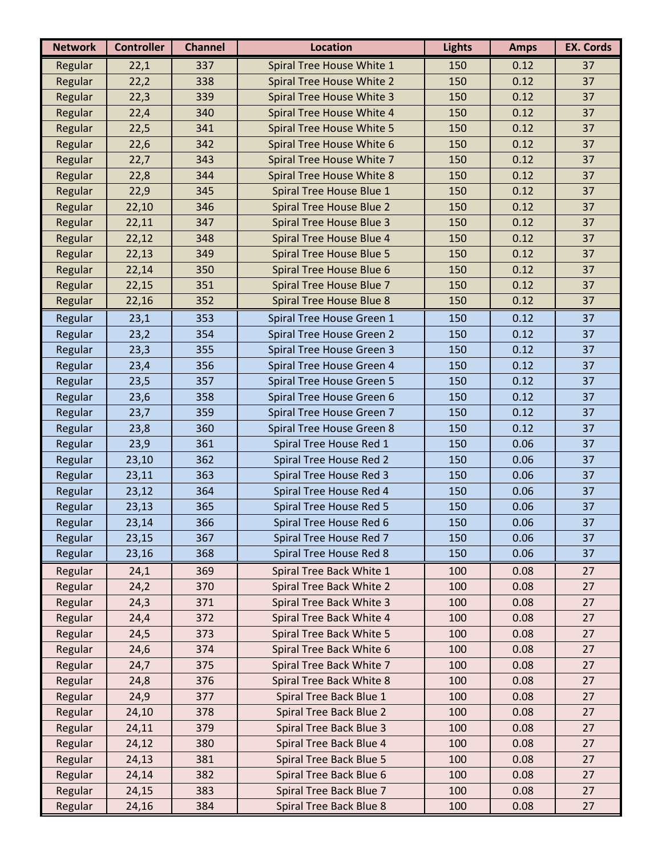| <b>Network</b> | <b>Controller</b> | <b>Channel</b> | <b>Location</b>                  | <b>Lights</b> | <b>Amps</b> | <b>EX. Cords</b> |
|----------------|-------------------|----------------|----------------------------------|---------------|-------------|------------------|
| Regular        | 22,1              | 337            | Spiral Tree House White 1        | 150           | 0.12        | 37               |
| Regular        | 22,2              | 338            | Spiral Tree House White 2        | 150           | 0.12        | 37               |
| Regular        | 22,3              | 339            | Spiral Tree House White 3        | 150           | 0.12        | 37               |
| Regular        | 22,4              | 340            | Spiral Tree House White 4        | 150           | 0.12        | 37               |
| Regular        | 22,5              | 341            | Spiral Tree House White 5        | 150           | 0.12        | 37               |
| Regular        | 22,6              | 342            | Spiral Tree House White 6        | 150           | 0.12        | 37               |
| Regular        | 22,7              | 343            | Spiral Tree House White 7        | 150           | 0.12        | 37               |
| Regular        | 22,8              | 344            | Spiral Tree House White 8        | 150           | 0.12        | 37               |
| Regular        | 22,9              | 345            | Spiral Tree House Blue 1         | 150           | 0.12        | 37               |
| Regular        | 22,10             | 346            | Spiral Tree House Blue 2         | 150           | 0.12        | 37               |
| Regular        | 22,11             | 347            | Spiral Tree House Blue 3         | 150           | 0.12        | 37               |
| Regular        | 22,12             | 348            | Spiral Tree House Blue 4         | 150           | 0.12        | 37               |
| Regular        | 22,13             | 349            | <b>Spiral Tree House Blue 5</b>  | 150           | 0.12        | 37               |
| Regular        | 22,14             | 350            | Spiral Tree House Blue 6         | 150           | 0.12        | 37               |
| Regular        | 22,15             | 351            | Spiral Tree House Blue 7         | 150           | 0.12        | 37               |
| Regular        | 22,16             | 352            | Spiral Tree House Blue 8         | 150           | 0.12        | 37               |
| Regular        | 23,1              | 353            | Spiral Tree House Green 1        | 150           | 0.12        | 37               |
| Regular        | 23,2              | 354            | <b>Spiral Tree House Green 2</b> | 150           | 0.12        | 37               |
| Regular        | 23,3              | 355            | Spiral Tree House Green 3        | 150           | 0.12        | 37               |
| Regular        | 23,4              | 356            | Spiral Tree House Green 4        | 150           | 0.12        | 37               |
| Regular        | 23,5              | 357            | Spiral Tree House Green 5        | 150           | 0.12        | 37               |
| Regular        | 23,6              | 358            | Spiral Tree House Green 6        | 150           | 0.12        | 37               |
| Regular        | 23,7              | 359            | Spiral Tree House Green 7        | 150           | 0.12        | 37               |
| Regular        | 23,8              | 360            | Spiral Tree House Green 8        | 150           | 0.12        | 37               |
| Regular        | 23,9              | 361            | Spiral Tree House Red 1          | 150           | 0.06        | 37               |
| Regular        | 23,10             | 362            | Spiral Tree House Red 2          | 150           | 0.06        | 37               |
| Regular        | 23,11             | 363            | Spiral Tree House Red 3          | 150           | 0.06        | 37               |
| Regular        | 23,12             | 364            | Spiral Tree House Red 4          | 150           | 0.06        | 37               |
| Regular        | 23,13             | 365            | Spiral Tree House Red 5          | 150           | 0.06        | 37               |
| Regular        | 23,14             | 366            | Spiral Tree House Red 6          | 150           | 0.06        | 37               |
| Regular        | 23,15             | 367            | Spiral Tree House Red 7          | 150           | 0.06        | 37               |
| Regular        | 23,16             | 368            | Spiral Tree House Red 8          | 150           | 0.06        | 37               |
| Regular        | 24,1              | 369            | Spiral Tree Back White 1         | 100           | 0.08        | 27               |
| Regular        | 24,2              | 370            | Spiral Tree Back White 2         | 100           | 0.08        | 27               |
| Regular        | 24,3              | 371            | Spiral Tree Back White 3         | 100           | 0.08        | 27               |
| Regular        | 24,4              | 372            | Spiral Tree Back White 4         | 100           | 0.08        | 27               |
| Regular        | 24,5              | 373            | Spiral Tree Back White 5         | 100           | 0.08        | 27               |
| Regular        | 24,6              | 374            | Spiral Tree Back White 6         | 100           | 0.08        | 27               |
| Regular        | 24,7              | 375            | Spiral Tree Back White 7         | 100           | 0.08        | 27               |
| Regular        | 24,8              | 376            | Spiral Tree Back White 8         | 100           | 0.08        | 27               |
| Regular        | 24,9              | 377            | Spiral Tree Back Blue 1          | 100           | 0.08        | 27               |
| Regular        | 24,10             | 378            | Spiral Tree Back Blue 2          | 100           | 0.08        | 27               |
| Regular        | 24,11             | 379            | Spiral Tree Back Blue 3          | 100           | 0.08        | 27               |
| Regular        | 24,12             | 380            | Spiral Tree Back Blue 4          | 100           | 0.08        | 27               |
| Regular        | 24,13             | 381            | Spiral Tree Back Blue 5          | 100           | 0.08        | 27               |
| Regular        | 24,14             | 382            | Spiral Tree Back Blue 6          | 100           | 0.08        | 27               |
| Regular        | 24,15             | 383            | Spiral Tree Back Blue 7          | 100           | 0.08        | 27               |
| Regular        | 24,16             | 384            | Spiral Tree Back Blue 8          | 100           | 0.08        | 27               |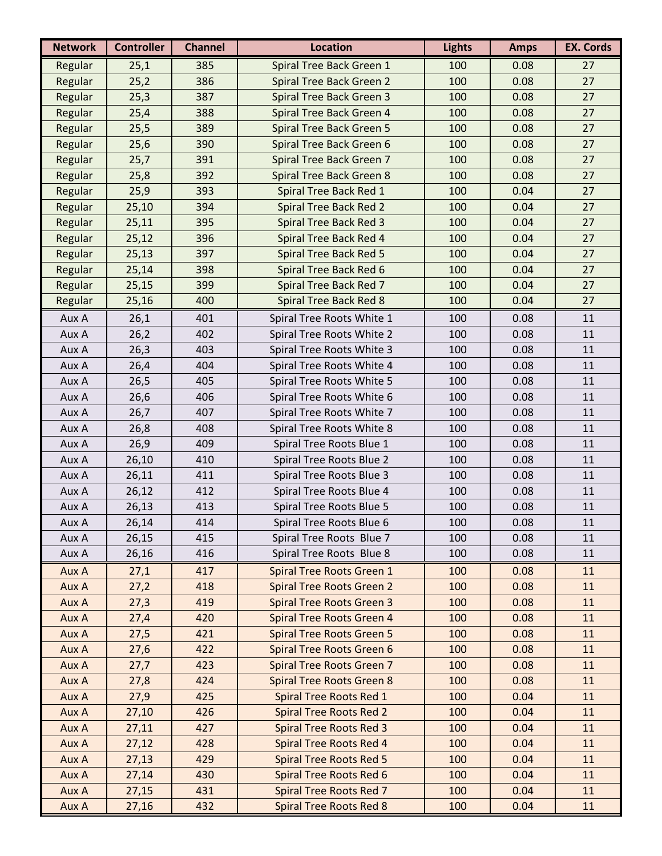| <b>Network</b> | <b>Controller</b> | <b>Channel</b> | <b>Location</b>                  | <b>Lights</b> | <b>Amps</b> | <b>EX. Cords</b> |
|----------------|-------------------|----------------|----------------------------------|---------------|-------------|------------------|
| Regular        | 25,1              | 385            | Spiral Tree Back Green 1         | 100           | 0.08        | 27               |
| Regular        | 25,2              | 386            | Spiral Tree Back Green 2         | 100           | 0.08        | 27               |
| Regular        | 25,3              | 387            | Spiral Tree Back Green 3         | 100           | 0.08        | 27               |
| Regular        | 25,4              | 388            | Spiral Tree Back Green 4         | 100           | 0.08        | 27               |
| Regular        | 25,5              | 389            | Spiral Tree Back Green 5         | 100           | 0.08        | 27               |
| Regular        | 25,6              | 390            | Spiral Tree Back Green 6         | 100           | 0.08        | 27               |
| Regular        | 25,7              | 391            | Spiral Tree Back Green 7         | 100           | 0.08        | 27               |
| Regular        | 25,8              | 392            | Spiral Tree Back Green 8         | 100           | 0.08        | 27               |
| Regular        | 25,9              | 393            | Spiral Tree Back Red 1           | 100           | 0.04        | 27               |
| Regular        | 25,10             | 394            | <b>Spiral Tree Back Red 2</b>    | 100           | 0.04        | 27               |
| Regular        | 25,11             | 395            | <b>Spiral Tree Back Red 3</b>    | 100           | 0.04        | 27               |
| Regular        | 25,12             | 396            | Spiral Tree Back Red 4           | 100           | 0.04        | 27               |
| Regular        | 25,13             | 397            | <b>Spiral Tree Back Red 5</b>    | 100           | 0.04        | 27               |
| Regular        | 25,14             | 398            | Spiral Tree Back Red 6           | 100           | 0.04        | 27               |
| Regular        | 25,15             | 399            | Spiral Tree Back Red 7           | 100           | 0.04        | 27               |
| Regular        | 25,16             | 400            | <b>Spiral Tree Back Red 8</b>    | 100           | 0.04        | 27               |
| Aux A          | 26,1              | 401            | Spiral Tree Roots White 1        | 100           | 0.08        | 11               |
| Aux A          | 26,2              | 402            | Spiral Tree Roots White 2        | 100           | 0.08        | 11               |
| Aux A          | 26,3              | 403            | Spiral Tree Roots White 3        | 100           | 0.08        | 11               |
| Aux A          | 26,4              | 404            | Spiral Tree Roots White 4        | 100           | 0.08        | 11               |
| Aux A          | 26,5              | 405            | Spiral Tree Roots White 5        | 100           | 0.08        | 11               |
| Aux A          | 26,6              | 406            | Spiral Tree Roots White 6        | 100           | 0.08        | 11               |
| Aux A          | 26,7              | 407            | Spiral Tree Roots White 7        | 100           | 0.08        | 11               |
| Aux A          | 26,8              | 408            | Spiral Tree Roots White 8        | 100           | 0.08        | 11               |
| Aux A          | 26,9              | 409            | Spiral Tree Roots Blue 1         | 100           | 0.08        | 11               |
| Aux A          | 26,10             | 410            | Spiral Tree Roots Blue 2         | 100           | 0.08        | 11               |
| Aux A          | 26,11             | 411            | Spiral Tree Roots Blue 3         | 100           | 0.08        | 11               |
| Aux A          | 26,12             | 412            | Spiral Tree Roots Blue 4         | 100           | 0.08        | 11               |
| Aux A          | 26,13             | 413            | Spiral Tree Roots Blue 5         | 100           | 0.08        | 11               |
| Aux A          | 26,14             | 414            | Spiral Tree Roots Blue 6         | 100           | 0.08        | 11               |
| Aux A          | 26,15             | 415            | Spiral Tree Roots Blue 7         | 100           | 0.08        | 11               |
| Aux A          | 26,16             | 416            | Spiral Tree Roots Blue 8         | 100           | 0.08        | 11               |
| Aux A          | 27,1              | 417            | Spiral Tree Roots Green 1        | 100           | 0.08        | 11               |
| Aux A          | 27,2              | 418            | <b>Spiral Tree Roots Green 2</b> | 100           | 0.08        | 11               |
| Aux A          | 27,3              | 419            | <b>Spiral Tree Roots Green 3</b> | 100           | 0.08        | 11               |
| Aux A          | 27,4              | 420            | Spiral Tree Roots Green 4        | 100           | 0.08        | 11               |
| Aux A          | 27,5              | 421            | <b>Spiral Tree Roots Green 5</b> | 100           | 0.08        | 11               |
| Aux A          | 27,6              | 422            | Spiral Tree Roots Green 6        | 100           | 0.08        | 11               |
| Aux A          | 27,7              | 423            | <b>Spiral Tree Roots Green 7</b> | 100           | 0.08        | 11               |
| Aux A          | 27,8              | 424            | <b>Spiral Tree Roots Green 8</b> | 100           | 0.08        | 11               |
| Aux A          | 27,9              | 425            | Spiral Tree Roots Red 1          | 100           | 0.04        | 11               |
| Aux A          | 27,10             | 426            | <b>Spiral Tree Roots Red 2</b>   | 100           | 0.04        | 11               |
| Aux A          | 27,11             | 427            | <b>Spiral Tree Roots Red 3</b>   | 100           | 0.04        | 11               |
| Aux A          | 27,12             | 428            | <b>Spiral Tree Roots Red 4</b>   | 100           | 0.04        | 11               |
| Aux A          | 27,13             | 429            | <b>Spiral Tree Roots Red 5</b>   | 100           | 0.04        | 11               |
| Aux A          | 27,14             | 430            | Spiral Tree Roots Red 6          | 100           | 0.04        | 11               |
| Aux A          | 27,15             | 431            | <b>Spiral Tree Roots Red 7</b>   | 100           | 0.04        | 11               |
| Aux A          | 27,16             | 432            | <b>Spiral Tree Roots Red 8</b>   | 100           | 0.04        | 11               |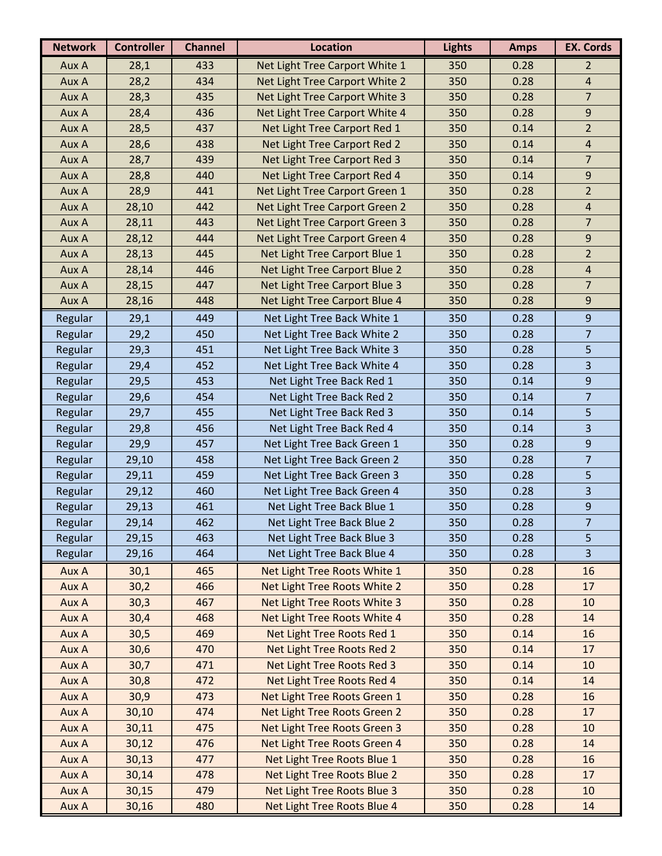| <b>Network</b> | <b>Controller</b> | <b>Channel</b> | <b>Location</b>                | <b>Lights</b> | <b>Amps</b> | <b>EX. Cords</b>        |
|----------------|-------------------|----------------|--------------------------------|---------------|-------------|-------------------------|
| Aux A          | 28,1              | 433            | Net Light Tree Carport White 1 | 350           | 0.28        | $\overline{2}$          |
| Aux A          | 28,2              | 434            | Net Light Tree Carport White 2 | 350           | 0.28        | $\sqrt{4}$              |
| Aux A          | 28,3              | 435            | Net Light Tree Carport White 3 | 350           | 0.28        | $\overline{7}$          |
| Aux A          | 28,4              | 436            | Net Light Tree Carport White 4 | 350           | 0.28        | 9                       |
| Aux A          | 28,5              | 437            | Net Light Tree Carport Red 1   | 350           | 0.14        | $\overline{2}$          |
| Aux A          | 28,6              | 438            | Net Light Tree Carport Red 2   | 350           | 0.14        | 4                       |
| Aux A          | 28,7              | 439            | Net Light Tree Carport Red 3   | 350           | 0.14        | $\overline{7}$          |
| Aux A          | 28,8              | 440            | Net Light Tree Carport Red 4   | 350           | 0.14        | 9                       |
| Aux A          | 28,9              | 441            | Net Light Tree Carport Green 1 | 350           | 0.28        | $\overline{2}$          |
| Aux A          | 28,10             | 442            | Net Light Tree Carport Green 2 | 350           | 0.28        | $\overline{4}$          |
| Aux A          | 28,11             | 443            | Net Light Tree Carport Green 3 | 350           | 0.28        | $\overline{7}$          |
| Aux A          | 28,12             | 444            | Net Light Tree Carport Green 4 | 350           | 0.28        | 9                       |
| Aux A          | 28,13             | 445            | Net Light Tree Carport Blue 1  | 350           | 0.28        | $\overline{2}$          |
| Aux A          | 28,14             | 446            | Net Light Tree Carport Blue 2  | 350           | 0.28        | $\sqrt{4}$              |
| Aux A          | 28,15             | 447            | Net Light Tree Carport Blue 3  | 350           | 0.28        | $\overline{7}$          |
| Aux A          | 28,16             | 448            | Net Light Tree Carport Blue 4  | 350           | 0.28        | 9                       |
| Regular        | 29,1              | 449            | Net Light Tree Back White 1    | 350           | 0.28        | $\overline{9}$          |
| Regular        | 29,2              | 450            | Net Light Tree Back White 2    | 350           | 0.28        | $\overline{7}$          |
| Regular        | 29,3              | 451            | Net Light Tree Back White 3    | 350           | 0.28        | 5                       |
| Regular        | 29,4              | 452            | Net Light Tree Back White 4    | 350           | 0.28        | 3                       |
| Regular        | 29,5              | 453            | Net Light Tree Back Red 1      | 350           | 0.14        | 9                       |
| Regular        | 29,6              | 454            | Net Light Tree Back Red 2      | 350           | 0.14        | $\overline{7}$          |
| Regular        | 29,7              | 455            | Net Light Tree Back Red 3      | 350           | 0.14        | 5                       |
| Regular        | 29,8              | 456            | Net Light Tree Back Red 4      | 350           | 0.14        | 3                       |
| Regular        | 29,9              | 457            | Net Light Tree Back Green 1    | 350           | 0.28        | $\boldsymbol{9}$        |
| Regular        | 29,10             | 458            | Net Light Tree Back Green 2    | 350           | 0.28        | $\overline{7}$          |
| Regular        | 29,11             | 459            | Net Light Tree Back Green 3    | 350           | 0.28        | 5                       |
| Regular        | 29,12             | 460            | Net Light Tree Back Green 4    | 350           | 0.28        | 3                       |
| Regular        | 29,13             | 461            | Net Light Tree Back Blue 1     | 350           | 0.28        | 9                       |
| Regular        | 29,14             | 462            | Net Light Tree Back Blue 2     | 350           | 0.28        | $\overline{7}$          |
| Regular        | 29,15             | 463            | Net Light Tree Back Blue 3     | 350           | 0.28        | 5                       |
| Regular        | 29,16             | 464            | Net Light Tree Back Blue 4     | 350           | 0.28        | $\overline{\mathbf{3}}$ |
| Aux A          | 30,1              | 465            | Net Light Tree Roots White 1   | 350           | 0.28        | 16                      |
| Aux A          | 30,2              | 466            | Net Light Tree Roots White 2   | 350           | 0.28        | 17                      |
| Aux A          | 30,3              | 467            | Net Light Tree Roots White 3   | 350           | 0.28        | 10                      |
| Aux A          | 30,4              | 468            | Net Light Tree Roots White 4   | 350           | 0.28        | 14                      |
| Aux A          | 30,5              | 469            | Net Light Tree Roots Red 1     | 350           | 0.14        | 16                      |
| Aux A          | 30,6              | 470            | Net Light Tree Roots Red 2     | 350           | 0.14        | 17                      |
| Aux A          | 30,7              | 471            | Net Light Tree Roots Red 3     | 350           | 0.14        | 10                      |
| Aux A          | 30,8              | 472            | Net Light Tree Roots Red 4     | 350           | 0.14        | 14                      |
| Aux A          | 30,9              | 473            | Net Light Tree Roots Green 1   | 350           | 0.28        | 16                      |
| Aux A          | 30,10             | 474            | Net Light Tree Roots Green 2   | 350           | 0.28        | 17                      |
| Aux A          | 30,11             | 475            | Net Light Tree Roots Green 3   | 350           | 0.28        | 10                      |
| Aux A          | 30,12             | 476            | Net Light Tree Roots Green 4   | 350           | 0.28        | 14                      |
| Aux A          | 30,13             | 477            | Net Light Tree Roots Blue 1    | 350           | 0.28        | 16                      |
| Aux A          | 30,14             | 478            | Net Light Tree Roots Blue 2    | 350           | 0.28        | 17                      |
| Aux A          | 30,15             | 479            | Net Light Tree Roots Blue 3    | 350           | 0.28        | 10                      |
| Aux A          | 30,16             | 480            | Net Light Tree Roots Blue 4    | 350           | 0.28        | 14                      |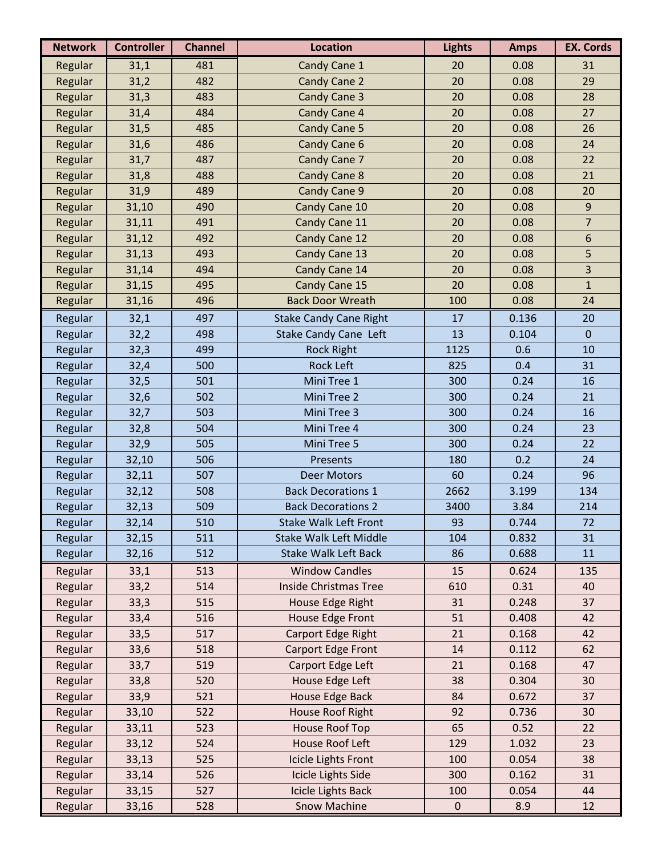| <b>Network</b> | <b>Controller</b> | <b>Channel</b> | <b>Location</b>               | <b>Lights</b> | <b>Amps</b> | <b>EX. Cords</b> |
|----------------|-------------------|----------------|-------------------------------|---------------|-------------|------------------|
| Regular        | 31,1              | 481            | Candy Cane 1                  | 20            | 0.08        | 31               |
| Regular        | 31,2              | 482            | Candy Cane 2                  | 20            | 0.08        | 29               |
| Regular        | 31,3              | 483            | Candy Cane 3                  | 20            | 0.08        | 28               |
| Regular        | 31,4              | 484            | Candy Cane 4                  | 20            | 0.08        | 27               |
| Regular        | 31,5              | 485            | Candy Cane 5                  | 20            | 0.08        | 26               |
| Regular        | 31,6              | 486            | Candy Cane 6                  | 20            | 0.08        | 24               |
| Regular        | 31,7              | 487            | Candy Cane 7                  | 20            | 0.08        | 22               |
| Regular        | 31,8              | 488            | <b>Candy Cane 8</b>           | 20            | 0.08        | 21               |
| Regular        | 31,9              | 489            | Candy Cane 9                  | 20            | 0.08        | 20               |
| Regular        | 31,10             | 490            | Candy Cane 10                 | 20            | 0.08        | 9                |
| Regular        | 31,11             | 491            | Candy Cane 11                 | 20            | 0.08        | $\overline{7}$   |
| Regular        | 31,12             | 492            | Candy Cane 12                 | 20            | 0.08        | 6                |
| Regular        | 31,13             | 493            | Candy Cane 13                 | 20            | 0.08        | 5                |
| Regular        | 31,14             | 494            | Candy Cane 14                 | 20            | 0.08        | 3                |
| Regular        | 31,15             | 495            | Candy Cane 15                 | 20            | 0.08        | $\mathbf{1}$     |
| Regular        | 31,16             | 496            | <b>Back Door Wreath</b>       | 100           | 0.08        | 24               |
| Regular        | 32,1              | 497            | <b>Stake Candy Cane Right</b> | 17            | 0.136       | 20               |
| Regular        | 32,2              | 498            | <b>Stake Candy Cane Left</b>  | 13            | 0.104       | $\overline{0}$   |
| Regular        | 32,3              | 499            | <b>Rock Right</b>             | 1125          | 0.6         | 10               |
| Regular        | 32,4              | 500            | <b>Rock Left</b>              | 825           | 0.4         | 31               |
| Regular        | 32,5              | 501            | Mini Tree 1                   | 300           | 0.24        | 16               |
| Regular        | 32,6              | 502            | Mini Tree 2                   | 300           | 0.24        | 21               |
| Regular        | 32,7              | 503            | Mini Tree 3                   | 300           | 0.24        | 16               |
| Regular        | 32,8              | 504            | Mini Tree 4                   | 300           | 0.24        | 23               |
| Regular        | 32,9              | 505            | Mini Tree 5                   | 300           | 0.24        | 22               |
| Regular        | 32,10             | 506            | Presents                      | 180           | 0.2         | 24               |
| Regular        | 32,11             | 507            | <b>Deer Motors</b>            | 60            | 0.24        | 96               |
| Regular        | 32,12             | 508            | <b>Back Decorations 1</b>     | 2662          | 3.199       | 134              |
| Regular        | 32,13             | 509            | <b>Back Decorations 2</b>     | 3400          | 3.84        | 214              |
| Regular        | 32,14             | 510            | Stake Walk Left Front         | 93            | 0.744       | 72               |
| Regular        | 32,15             | 511            | <b>Stake Walk Left Middle</b> | 104           | 0.832       | 31               |
| Regular        | 32,16             | 512            | <b>Stake Walk Left Back</b>   | 86            | 0.688       | 11               |
| Regular        | 33,1              | 513            | <b>Window Candles</b>         | 15            | 0.624       | 135              |
| Regular        | 33,2              | 514            | <b>Inside Christmas Tree</b>  | 610           | 0.31        | 40               |
| Regular        | 33,3              | 515            | House Edge Right              | 31            | 0.248       | 37               |
| Regular        | 33,4              | 516            | House Edge Front              | 51            | 0.408       | 42               |
| Regular        | 33,5              | 517            | Carport Edge Right            | 21            | 0.168       | 42               |
| Regular        | 33,6              | 518            | Carport Edge Front            | 14            | 0.112       | 62               |
| Regular        | 33,7              | 519            | Carport Edge Left             | 21            | 0.168       | 47               |
| Regular        | 33,8              | 520            | House Edge Left               | 38            | 0.304       | 30               |
| Regular        | 33,9              | 521            | House Edge Back               | 84            | 0.672       | 37               |
| Regular        | 33,10             | 522            | House Roof Right              | 92            | 0.736       | 30               |
| Regular        | 33,11             | 523            | <b>House Roof Top</b>         | 65            | 0.52        | 22               |
| Regular        | 33,12             | 524            | House Roof Left               | 129           | 1.032       | 23               |
| Regular        | 33,13             | 525            | Icicle Lights Front           | 100           | 0.054       | 38               |
| Regular        | 33,14             | 526            | Icicle Lights Side            | 300           | 0.162       | 31               |
| Regular        | 33,15             | 527            | <b>Icicle Lights Back</b>     | 100           | 0.054       | 44               |
| Regular        | 33,16             | 528            | Snow Machine                  | $\mathbf 0$   | 8.9         | 12               |
|                |                   |                |                               |               |             |                  |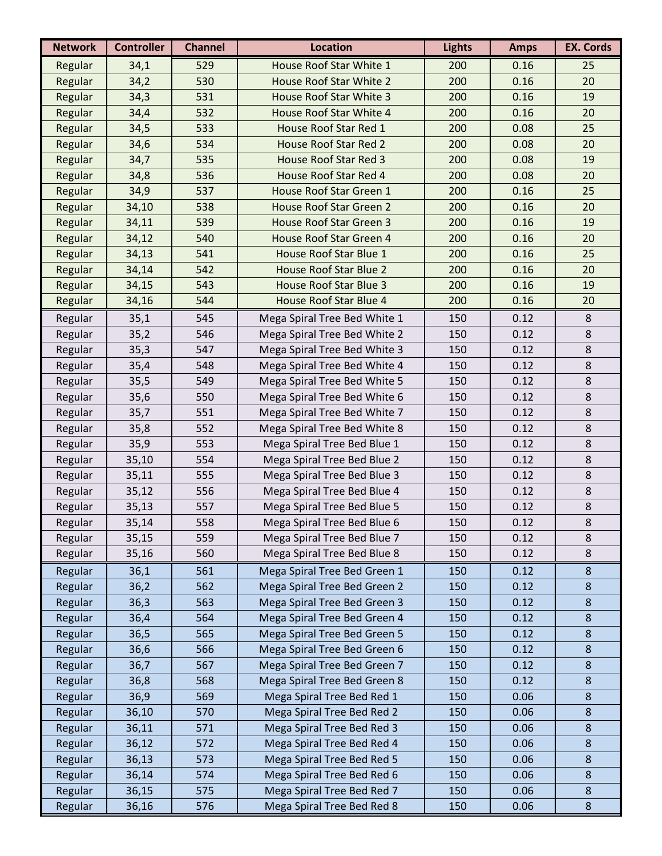| House Roof Star White 1<br>529<br>200<br>Regular<br>34,1<br>0.16<br>25<br>530<br>House Roof Star White 2<br>200<br>20<br>Regular<br>34,2<br>0.16<br>Regular<br>531<br><b>House Roof Star White 3</b><br>200<br>0.16<br>34,3<br>19<br>532<br>House Roof Star White 4<br>Regular<br>200<br>0.16<br>20<br>34,4<br>Regular<br>533<br>House Roof Star Red 1<br>200<br>0.08<br>25<br>34,5<br>Regular<br>534<br><b>House Roof Star Red 2</b><br>200<br>0.08<br>20<br>34,6<br>535<br>Regular<br><b>House Roof Star Red 3</b><br>200<br>0.08<br>19<br>34,7<br>536<br>House Roof Star Red 4<br>Regular<br>200<br>0.08<br>20<br>34,8<br>537<br>House Roof Star Green 1<br>25<br>Regular<br>34,9<br>200<br>0.16<br>Regular<br>538<br><b>House Roof Star Green 2</b><br>200<br>0.16<br>20<br>34,10<br>539<br>Regular<br><b>House Roof Star Green 3</b><br>200<br>0.16<br>19<br>34,11<br>Regular<br>540<br>House Roof Star Green 4<br>200<br>0.16<br>20<br>34,12<br>Regular<br>541<br>House Roof Star Blue 1<br>200<br>0.16<br>25<br>34,13<br>542<br>House Roof Star Blue 2<br>200<br>0.16<br>20<br>Regular<br>34,14<br>Regular<br>543<br><b>House Roof Star Blue 3</b><br>200<br>0.16<br>34,15<br>19<br>544<br><b>House Roof Star Blue 4</b><br>Regular<br>200<br>0.16<br>20<br>34,16<br>Mega Spiral Tree Bed White 1<br>0.12<br>Regular<br>35,1<br>545<br>150<br>8<br>0.12<br>Regular<br>35,2<br>546<br>Mega Spiral Tree Bed White 2<br>150<br>8<br>$\,8\,$<br>Regular<br>547<br>Mega Spiral Tree Bed White 3<br>150<br>0.12<br>35,3<br>548<br>0.12<br>8<br>Regular<br>35,4<br>Mega Spiral Tree Bed White 4<br>150<br>8<br>Regular<br>549<br>Mega Spiral Tree Bed White 5<br>0.12<br>35,5<br>150<br>550<br>Mega Spiral Tree Bed White 6<br>150<br>0.12<br>$\,8\,$<br>Regular<br>35,6<br>$\,8\,$<br>551<br>0.12<br>Regular<br>35,7<br>Mega Spiral Tree Bed White 7<br>150<br>$\,8\,$<br>Regular<br>552<br>35,8<br>Mega Spiral Tree Bed White 8<br>150<br>0.12<br>35,9<br>553<br>0.12<br>8<br>Regular<br>Mega Spiral Tree Bed Blue 1<br>150<br>8<br>Regular<br>554<br>Mega Spiral Tree Bed Blue 2<br>35,10<br>150<br>0.12<br>Regular<br>555<br>Mega Spiral Tree Bed Blue 3<br>0.12<br>8<br>35,11<br>150<br>$\,8\,$<br>Regular<br>556<br>Mega Spiral Tree Bed Blue 4<br>150<br>0.12<br>35,12<br>$\,8\,$<br>Regular<br>557<br>Mega Spiral Tree Bed Blue 5<br>150<br>0.12<br>35,13<br>558<br>35,14<br>8<br>150<br>0.12<br>Regular<br>Mega Spiral Tree Bed Blue 6<br>8<br>559<br>Mega Spiral Tree Bed Blue 7<br>150<br>0.12<br>Regular<br>35,15<br>560<br>0.12<br>8<br>Regular<br>35,16<br>Mega Spiral Tree Bed Blue 8<br>150<br>Regular<br>36,1<br>561<br>Mega Spiral Tree Bed Green 1<br>0.12<br>8<br>150<br>562<br>Mega Spiral Tree Bed Green 2<br>150<br>0.12<br>Regular<br>36,2<br>8<br>563<br>Mega Spiral Tree Bed Green 3<br>$\boldsymbol{8}$<br>Regular<br>36,3<br>150<br>0.12<br>564<br>Mega Spiral Tree Bed Green 4<br>0.12<br>$\boldsymbol{8}$<br>Regular<br>36,4<br>150<br>$\boldsymbol{8}$<br>Regular<br>36,5<br>565<br>Mega Spiral Tree Bed Green 5<br>150<br>0.12<br>566<br>0.12<br>Regular<br>36,6<br>Mega Spiral Tree Bed Green 6<br>150<br>8<br>Mega Spiral Tree Bed Green 7<br>$\boldsymbol{8}$<br>Regular<br>36,7<br>567<br>150<br>0.12<br>Mega Spiral Tree Bed Green 8<br>Regular<br>568<br>150<br>0.12<br>$\boldsymbol{8}$<br>36,8<br>569<br>Regular<br>36,9<br>Mega Spiral Tree Bed Red 1<br>150<br>0.06<br>8<br>0.06<br>$\boldsymbol{8}$<br>Regular<br>36,10<br>570<br>Mega Spiral Tree Bed Red 2<br>150<br>Mega Spiral Tree Bed Red 3<br>0.06<br>Regular<br>571<br>150<br>8<br>36,11<br>Mega Spiral Tree Bed Red 4<br>0.06<br>8<br>Regular<br>36,12<br>572<br>150<br>Regular<br>573<br>Mega Spiral Tree Bed Red 5<br>150<br>0.06<br>8<br>36,13<br>Regular<br>Mega Spiral Tree Bed Red 6<br>0.06<br>$\boldsymbol{8}$<br>36,14<br>574<br>150<br>Regular<br>Mega Spiral Tree Bed Red 7<br>0.06<br>$\boldsymbol{8}$<br>36,15<br>575<br>150<br>576<br>Mega Spiral Tree Bed Red 8<br>0.06<br>Regular<br>36,16<br>150<br>8 | <b>Network</b> | <b>Controller</b> | <b>Channel</b> | <b>Location</b> | <b>Lights</b> | <b>Amps</b> | <b>EX. Cords</b> |
|----------------------------------------------------------------------------------------------------------------------------------------------------------------------------------------------------------------------------------------------------------------------------------------------------------------------------------------------------------------------------------------------------------------------------------------------------------------------------------------------------------------------------------------------------------------------------------------------------------------------------------------------------------------------------------------------------------------------------------------------------------------------------------------------------------------------------------------------------------------------------------------------------------------------------------------------------------------------------------------------------------------------------------------------------------------------------------------------------------------------------------------------------------------------------------------------------------------------------------------------------------------------------------------------------------------------------------------------------------------------------------------------------------------------------------------------------------------------------------------------------------------------------------------------------------------------------------------------------------------------------------------------------------------------------------------------------------------------------------------------------------------------------------------------------------------------------------------------------------------------------------------------------------------------------------------------------------------------------------------------------------------------------------------------------------------------------------------------------------------------------------------------------------------------------------------------------------------------------------------------------------------------------------------------------------------------------------------------------------------------------------------------------------------------------------------------------------------------------------------------------------------------------------------------------------------------------------------------------------------------------------------------------------------------------------------------------------------------------------------------------------------------------------------------------------------------------------------------------------------------------------------------------------------------------------------------------------------------------------------------------------------------------------------------------------------------------------------------------------------------------------------------------------------------------------------------------------------------------------------------------------------------------------------------------------------------------------------------------------------------------------------------------------------------------------------------------------------------------------------------------------------------------------------------------------------------------------------------------------------------------------------------------------------------------------------------------------------------------------------------------------------------------------------------------------------------------------------------------------------------------------------------------------------------------------------------------------------------------------------------------------------------------|----------------|-------------------|----------------|-----------------|---------------|-------------|------------------|
|                                                                                                                                                                                                                                                                                                                                                                                                                                                                                                                                                                                                                                                                                                                                                                                                                                                                                                                                                                                                                                                                                                                                                                                                                                                                                                                                                                                                                                                                                                                                                                                                                                                                                                                                                                                                                                                                                                                                                                                                                                                                                                                                                                                                                                                                                                                                                                                                                                                                                                                                                                                                                                                                                                                                                                                                                                                                                                                                                                                                                                                                                                                                                                                                                                                                                                                                                                                                                                                                                                                                                                                                                                                                                                                                                                                                                                                                                                                                                                                                                            |                |                   |                |                 |               |             |                  |
|                                                                                                                                                                                                                                                                                                                                                                                                                                                                                                                                                                                                                                                                                                                                                                                                                                                                                                                                                                                                                                                                                                                                                                                                                                                                                                                                                                                                                                                                                                                                                                                                                                                                                                                                                                                                                                                                                                                                                                                                                                                                                                                                                                                                                                                                                                                                                                                                                                                                                                                                                                                                                                                                                                                                                                                                                                                                                                                                                                                                                                                                                                                                                                                                                                                                                                                                                                                                                                                                                                                                                                                                                                                                                                                                                                                                                                                                                                                                                                                                                            |                |                   |                |                 |               |             |                  |
|                                                                                                                                                                                                                                                                                                                                                                                                                                                                                                                                                                                                                                                                                                                                                                                                                                                                                                                                                                                                                                                                                                                                                                                                                                                                                                                                                                                                                                                                                                                                                                                                                                                                                                                                                                                                                                                                                                                                                                                                                                                                                                                                                                                                                                                                                                                                                                                                                                                                                                                                                                                                                                                                                                                                                                                                                                                                                                                                                                                                                                                                                                                                                                                                                                                                                                                                                                                                                                                                                                                                                                                                                                                                                                                                                                                                                                                                                                                                                                                                                            |                |                   |                |                 |               |             |                  |
|                                                                                                                                                                                                                                                                                                                                                                                                                                                                                                                                                                                                                                                                                                                                                                                                                                                                                                                                                                                                                                                                                                                                                                                                                                                                                                                                                                                                                                                                                                                                                                                                                                                                                                                                                                                                                                                                                                                                                                                                                                                                                                                                                                                                                                                                                                                                                                                                                                                                                                                                                                                                                                                                                                                                                                                                                                                                                                                                                                                                                                                                                                                                                                                                                                                                                                                                                                                                                                                                                                                                                                                                                                                                                                                                                                                                                                                                                                                                                                                                                            |                |                   |                |                 |               |             |                  |
|                                                                                                                                                                                                                                                                                                                                                                                                                                                                                                                                                                                                                                                                                                                                                                                                                                                                                                                                                                                                                                                                                                                                                                                                                                                                                                                                                                                                                                                                                                                                                                                                                                                                                                                                                                                                                                                                                                                                                                                                                                                                                                                                                                                                                                                                                                                                                                                                                                                                                                                                                                                                                                                                                                                                                                                                                                                                                                                                                                                                                                                                                                                                                                                                                                                                                                                                                                                                                                                                                                                                                                                                                                                                                                                                                                                                                                                                                                                                                                                                                            |                |                   |                |                 |               |             |                  |
|                                                                                                                                                                                                                                                                                                                                                                                                                                                                                                                                                                                                                                                                                                                                                                                                                                                                                                                                                                                                                                                                                                                                                                                                                                                                                                                                                                                                                                                                                                                                                                                                                                                                                                                                                                                                                                                                                                                                                                                                                                                                                                                                                                                                                                                                                                                                                                                                                                                                                                                                                                                                                                                                                                                                                                                                                                                                                                                                                                                                                                                                                                                                                                                                                                                                                                                                                                                                                                                                                                                                                                                                                                                                                                                                                                                                                                                                                                                                                                                                                            |                |                   |                |                 |               |             |                  |
|                                                                                                                                                                                                                                                                                                                                                                                                                                                                                                                                                                                                                                                                                                                                                                                                                                                                                                                                                                                                                                                                                                                                                                                                                                                                                                                                                                                                                                                                                                                                                                                                                                                                                                                                                                                                                                                                                                                                                                                                                                                                                                                                                                                                                                                                                                                                                                                                                                                                                                                                                                                                                                                                                                                                                                                                                                                                                                                                                                                                                                                                                                                                                                                                                                                                                                                                                                                                                                                                                                                                                                                                                                                                                                                                                                                                                                                                                                                                                                                                                            |                |                   |                |                 |               |             |                  |
|                                                                                                                                                                                                                                                                                                                                                                                                                                                                                                                                                                                                                                                                                                                                                                                                                                                                                                                                                                                                                                                                                                                                                                                                                                                                                                                                                                                                                                                                                                                                                                                                                                                                                                                                                                                                                                                                                                                                                                                                                                                                                                                                                                                                                                                                                                                                                                                                                                                                                                                                                                                                                                                                                                                                                                                                                                                                                                                                                                                                                                                                                                                                                                                                                                                                                                                                                                                                                                                                                                                                                                                                                                                                                                                                                                                                                                                                                                                                                                                                                            |                |                   |                |                 |               |             |                  |
|                                                                                                                                                                                                                                                                                                                                                                                                                                                                                                                                                                                                                                                                                                                                                                                                                                                                                                                                                                                                                                                                                                                                                                                                                                                                                                                                                                                                                                                                                                                                                                                                                                                                                                                                                                                                                                                                                                                                                                                                                                                                                                                                                                                                                                                                                                                                                                                                                                                                                                                                                                                                                                                                                                                                                                                                                                                                                                                                                                                                                                                                                                                                                                                                                                                                                                                                                                                                                                                                                                                                                                                                                                                                                                                                                                                                                                                                                                                                                                                                                            |                |                   |                |                 |               |             |                  |
|                                                                                                                                                                                                                                                                                                                                                                                                                                                                                                                                                                                                                                                                                                                                                                                                                                                                                                                                                                                                                                                                                                                                                                                                                                                                                                                                                                                                                                                                                                                                                                                                                                                                                                                                                                                                                                                                                                                                                                                                                                                                                                                                                                                                                                                                                                                                                                                                                                                                                                                                                                                                                                                                                                                                                                                                                                                                                                                                                                                                                                                                                                                                                                                                                                                                                                                                                                                                                                                                                                                                                                                                                                                                                                                                                                                                                                                                                                                                                                                                                            |                |                   |                |                 |               |             |                  |
|                                                                                                                                                                                                                                                                                                                                                                                                                                                                                                                                                                                                                                                                                                                                                                                                                                                                                                                                                                                                                                                                                                                                                                                                                                                                                                                                                                                                                                                                                                                                                                                                                                                                                                                                                                                                                                                                                                                                                                                                                                                                                                                                                                                                                                                                                                                                                                                                                                                                                                                                                                                                                                                                                                                                                                                                                                                                                                                                                                                                                                                                                                                                                                                                                                                                                                                                                                                                                                                                                                                                                                                                                                                                                                                                                                                                                                                                                                                                                                                                                            |                |                   |                |                 |               |             |                  |
|                                                                                                                                                                                                                                                                                                                                                                                                                                                                                                                                                                                                                                                                                                                                                                                                                                                                                                                                                                                                                                                                                                                                                                                                                                                                                                                                                                                                                                                                                                                                                                                                                                                                                                                                                                                                                                                                                                                                                                                                                                                                                                                                                                                                                                                                                                                                                                                                                                                                                                                                                                                                                                                                                                                                                                                                                                                                                                                                                                                                                                                                                                                                                                                                                                                                                                                                                                                                                                                                                                                                                                                                                                                                                                                                                                                                                                                                                                                                                                                                                            |                |                   |                |                 |               |             |                  |
|                                                                                                                                                                                                                                                                                                                                                                                                                                                                                                                                                                                                                                                                                                                                                                                                                                                                                                                                                                                                                                                                                                                                                                                                                                                                                                                                                                                                                                                                                                                                                                                                                                                                                                                                                                                                                                                                                                                                                                                                                                                                                                                                                                                                                                                                                                                                                                                                                                                                                                                                                                                                                                                                                                                                                                                                                                                                                                                                                                                                                                                                                                                                                                                                                                                                                                                                                                                                                                                                                                                                                                                                                                                                                                                                                                                                                                                                                                                                                                                                                            |                |                   |                |                 |               |             |                  |
|                                                                                                                                                                                                                                                                                                                                                                                                                                                                                                                                                                                                                                                                                                                                                                                                                                                                                                                                                                                                                                                                                                                                                                                                                                                                                                                                                                                                                                                                                                                                                                                                                                                                                                                                                                                                                                                                                                                                                                                                                                                                                                                                                                                                                                                                                                                                                                                                                                                                                                                                                                                                                                                                                                                                                                                                                                                                                                                                                                                                                                                                                                                                                                                                                                                                                                                                                                                                                                                                                                                                                                                                                                                                                                                                                                                                                                                                                                                                                                                                                            |                |                   |                |                 |               |             |                  |
|                                                                                                                                                                                                                                                                                                                                                                                                                                                                                                                                                                                                                                                                                                                                                                                                                                                                                                                                                                                                                                                                                                                                                                                                                                                                                                                                                                                                                                                                                                                                                                                                                                                                                                                                                                                                                                                                                                                                                                                                                                                                                                                                                                                                                                                                                                                                                                                                                                                                                                                                                                                                                                                                                                                                                                                                                                                                                                                                                                                                                                                                                                                                                                                                                                                                                                                                                                                                                                                                                                                                                                                                                                                                                                                                                                                                                                                                                                                                                                                                                            |                |                   |                |                 |               |             |                  |
|                                                                                                                                                                                                                                                                                                                                                                                                                                                                                                                                                                                                                                                                                                                                                                                                                                                                                                                                                                                                                                                                                                                                                                                                                                                                                                                                                                                                                                                                                                                                                                                                                                                                                                                                                                                                                                                                                                                                                                                                                                                                                                                                                                                                                                                                                                                                                                                                                                                                                                                                                                                                                                                                                                                                                                                                                                                                                                                                                                                                                                                                                                                                                                                                                                                                                                                                                                                                                                                                                                                                                                                                                                                                                                                                                                                                                                                                                                                                                                                                                            |                |                   |                |                 |               |             |                  |
|                                                                                                                                                                                                                                                                                                                                                                                                                                                                                                                                                                                                                                                                                                                                                                                                                                                                                                                                                                                                                                                                                                                                                                                                                                                                                                                                                                                                                                                                                                                                                                                                                                                                                                                                                                                                                                                                                                                                                                                                                                                                                                                                                                                                                                                                                                                                                                                                                                                                                                                                                                                                                                                                                                                                                                                                                                                                                                                                                                                                                                                                                                                                                                                                                                                                                                                                                                                                                                                                                                                                                                                                                                                                                                                                                                                                                                                                                                                                                                                                                            |                |                   |                |                 |               |             |                  |
|                                                                                                                                                                                                                                                                                                                                                                                                                                                                                                                                                                                                                                                                                                                                                                                                                                                                                                                                                                                                                                                                                                                                                                                                                                                                                                                                                                                                                                                                                                                                                                                                                                                                                                                                                                                                                                                                                                                                                                                                                                                                                                                                                                                                                                                                                                                                                                                                                                                                                                                                                                                                                                                                                                                                                                                                                                                                                                                                                                                                                                                                                                                                                                                                                                                                                                                                                                                                                                                                                                                                                                                                                                                                                                                                                                                                                                                                                                                                                                                                                            |                |                   |                |                 |               |             |                  |
|                                                                                                                                                                                                                                                                                                                                                                                                                                                                                                                                                                                                                                                                                                                                                                                                                                                                                                                                                                                                                                                                                                                                                                                                                                                                                                                                                                                                                                                                                                                                                                                                                                                                                                                                                                                                                                                                                                                                                                                                                                                                                                                                                                                                                                                                                                                                                                                                                                                                                                                                                                                                                                                                                                                                                                                                                                                                                                                                                                                                                                                                                                                                                                                                                                                                                                                                                                                                                                                                                                                                                                                                                                                                                                                                                                                                                                                                                                                                                                                                                            |                |                   |                |                 |               |             |                  |
|                                                                                                                                                                                                                                                                                                                                                                                                                                                                                                                                                                                                                                                                                                                                                                                                                                                                                                                                                                                                                                                                                                                                                                                                                                                                                                                                                                                                                                                                                                                                                                                                                                                                                                                                                                                                                                                                                                                                                                                                                                                                                                                                                                                                                                                                                                                                                                                                                                                                                                                                                                                                                                                                                                                                                                                                                                                                                                                                                                                                                                                                                                                                                                                                                                                                                                                                                                                                                                                                                                                                                                                                                                                                                                                                                                                                                                                                                                                                                                                                                            |                |                   |                |                 |               |             |                  |
|                                                                                                                                                                                                                                                                                                                                                                                                                                                                                                                                                                                                                                                                                                                                                                                                                                                                                                                                                                                                                                                                                                                                                                                                                                                                                                                                                                                                                                                                                                                                                                                                                                                                                                                                                                                                                                                                                                                                                                                                                                                                                                                                                                                                                                                                                                                                                                                                                                                                                                                                                                                                                                                                                                                                                                                                                                                                                                                                                                                                                                                                                                                                                                                                                                                                                                                                                                                                                                                                                                                                                                                                                                                                                                                                                                                                                                                                                                                                                                                                                            |                |                   |                |                 |               |             |                  |
|                                                                                                                                                                                                                                                                                                                                                                                                                                                                                                                                                                                                                                                                                                                                                                                                                                                                                                                                                                                                                                                                                                                                                                                                                                                                                                                                                                                                                                                                                                                                                                                                                                                                                                                                                                                                                                                                                                                                                                                                                                                                                                                                                                                                                                                                                                                                                                                                                                                                                                                                                                                                                                                                                                                                                                                                                                                                                                                                                                                                                                                                                                                                                                                                                                                                                                                                                                                                                                                                                                                                                                                                                                                                                                                                                                                                                                                                                                                                                                                                                            |                |                   |                |                 |               |             |                  |
|                                                                                                                                                                                                                                                                                                                                                                                                                                                                                                                                                                                                                                                                                                                                                                                                                                                                                                                                                                                                                                                                                                                                                                                                                                                                                                                                                                                                                                                                                                                                                                                                                                                                                                                                                                                                                                                                                                                                                                                                                                                                                                                                                                                                                                                                                                                                                                                                                                                                                                                                                                                                                                                                                                                                                                                                                                                                                                                                                                                                                                                                                                                                                                                                                                                                                                                                                                                                                                                                                                                                                                                                                                                                                                                                                                                                                                                                                                                                                                                                                            |                |                   |                |                 |               |             |                  |
|                                                                                                                                                                                                                                                                                                                                                                                                                                                                                                                                                                                                                                                                                                                                                                                                                                                                                                                                                                                                                                                                                                                                                                                                                                                                                                                                                                                                                                                                                                                                                                                                                                                                                                                                                                                                                                                                                                                                                                                                                                                                                                                                                                                                                                                                                                                                                                                                                                                                                                                                                                                                                                                                                                                                                                                                                                                                                                                                                                                                                                                                                                                                                                                                                                                                                                                                                                                                                                                                                                                                                                                                                                                                                                                                                                                                                                                                                                                                                                                                                            |                |                   |                |                 |               |             |                  |
|                                                                                                                                                                                                                                                                                                                                                                                                                                                                                                                                                                                                                                                                                                                                                                                                                                                                                                                                                                                                                                                                                                                                                                                                                                                                                                                                                                                                                                                                                                                                                                                                                                                                                                                                                                                                                                                                                                                                                                                                                                                                                                                                                                                                                                                                                                                                                                                                                                                                                                                                                                                                                                                                                                                                                                                                                                                                                                                                                                                                                                                                                                                                                                                                                                                                                                                                                                                                                                                                                                                                                                                                                                                                                                                                                                                                                                                                                                                                                                                                                            |                |                   |                |                 |               |             |                  |
|                                                                                                                                                                                                                                                                                                                                                                                                                                                                                                                                                                                                                                                                                                                                                                                                                                                                                                                                                                                                                                                                                                                                                                                                                                                                                                                                                                                                                                                                                                                                                                                                                                                                                                                                                                                                                                                                                                                                                                                                                                                                                                                                                                                                                                                                                                                                                                                                                                                                                                                                                                                                                                                                                                                                                                                                                                                                                                                                                                                                                                                                                                                                                                                                                                                                                                                                                                                                                                                                                                                                                                                                                                                                                                                                                                                                                                                                                                                                                                                                                            |                |                   |                |                 |               |             |                  |
|                                                                                                                                                                                                                                                                                                                                                                                                                                                                                                                                                                                                                                                                                                                                                                                                                                                                                                                                                                                                                                                                                                                                                                                                                                                                                                                                                                                                                                                                                                                                                                                                                                                                                                                                                                                                                                                                                                                                                                                                                                                                                                                                                                                                                                                                                                                                                                                                                                                                                                                                                                                                                                                                                                                                                                                                                                                                                                                                                                                                                                                                                                                                                                                                                                                                                                                                                                                                                                                                                                                                                                                                                                                                                                                                                                                                                                                                                                                                                                                                                            |                |                   |                |                 |               |             |                  |
|                                                                                                                                                                                                                                                                                                                                                                                                                                                                                                                                                                                                                                                                                                                                                                                                                                                                                                                                                                                                                                                                                                                                                                                                                                                                                                                                                                                                                                                                                                                                                                                                                                                                                                                                                                                                                                                                                                                                                                                                                                                                                                                                                                                                                                                                                                                                                                                                                                                                                                                                                                                                                                                                                                                                                                                                                                                                                                                                                                                                                                                                                                                                                                                                                                                                                                                                                                                                                                                                                                                                                                                                                                                                                                                                                                                                                                                                                                                                                                                                                            |                |                   |                |                 |               |             |                  |
|                                                                                                                                                                                                                                                                                                                                                                                                                                                                                                                                                                                                                                                                                                                                                                                                                                                                                                                                                                                                                                                                                                                                                                                                                                                                                                                                                                                                                                                                                                                                                                                                                                                                                                                                                                                                                                                                                                                                                                                                                                                                                                                                                                                                                                                                                                                                                                                                                                                                                                                                                                                                                                                                                                                                                                                                                                                                                                                                                                                                                                                                                                                                                                                                                                                                                                                                                                                                                                                                                                                                                                                                                                                                                                                                                                                                                                                                                                                                                                                                                            |                |                   |                |                 |               |             |                  |
|                                                                                                                                                                                                                                                                                                                                                                                                                                                                                                                                                                                                                                                                                                                                                                                                                                                                                                                                                                                                                                                                                                                                                                                                                                                                                                                                                                                                                                                                                                                                                                                                                                                                                                                                                                                                                                                                                                                                                                                                                                                                                                                                                                                                                                                                                                                                                                                                                                                                                                                                                                                                                                                                                                                                                                                                                                                                                                                                                                                                                                                                                                                                                                                                                                                                                                                                                                                                                                                                                                                                                                                                                                                                                                                                                                                                                                                                                                                                                                                                                            |                |                   |                |                 |               |             |                  |
|                                                                                                                                                                                                                                                                                                                                                                                                                                                                                                                                                                                                                                                                                                                                                                                                                                                                                                                                                                                                                                                                                                                                                                                                                                                                                                                                                                                                                                                                                                                                                                                                                                                                                                                                                                                                                                                                                                                                                                                                                                                                                                                                                                                                                                                                                                                                                                                                                                                                                                                                                                                                                                                                                                                                                                                                                                                                                                                                                                                                                                                                                                                                                                                                                                                                                                                                                                                                                                                                                                                                                                                                                                                                                                                                                                                                                                                                                                                                                                                                                            |                |                   |                |                 |               |             |                  |
|                                                                                                                                                                                                                                                                                                                                                                                                                                                                                                                                                                                                                                                                                                                                                                                                                                                                                                                                                                                                                                                                                                                                                                                                                                                                                                                                                                                                                                                                                                                                                                                                                                                                                                                                                                                                                                                                                                                                                                                                                                                                                                                                                                                                                                                                                                                                                                                                                                                                                                                                                                                                                                                                                                                                                                                                                                                                                                                                                                                                                                                                                                                                                                                                                                                                                                                                                                                                                                                                                                                                                                                                                                                                                                                                                                                                                                                                                                                                                                                                                            |                |                   |                |                 |               |             |                  |
|                                                                                                                                                                                                                                                                                                                                                                                                                                                                                                                                                                                                                                                                                                                                                                                                                                                                                                                                                                                                                                                                                                                                                                                                                                                                                                                                                                                                                                                                                                                                                                                                                                                                                                                                                                                                                                                                                                                                                                                                                                                                                                                                                                                                                                                                                                                                                                                                                                                                                                                                                                                                                                                                                                                                                                                                                                                                                                                                                                                                                                                                                                                                                                                                                                                                                                                                                                                                                                                                                                                                                                                                                                                                                                                                                                                                                                                                                                                                                                                                                            |                |                   |                |                 |               |             |                  |
|                                                                                                                                                                                                                                                                                                                                                                                                                                                                                                                                                                                                                                                                                                                                                                                                                                                                                                                                                                                                                                                                                                                                                                                                                                                                                                                                                                                                                                                                                                                                                                                                                                                                                                                                                                                                                                                                                                                                                                                                                                                                                                                                                                                                                                                                                                                                                                                                                                                                                                                                                                                                                                                                                                                                                                                                                                                                                                                                                                                                                                                                                                                                                                                                                                                                                                                                                                                                                                                                                                                                                                                                                                                                                                                                                                                                                                                                                                                                                                                                                            |                |                   |                |                 |               |             |                  |
|                                                                                                                                                                                                                                                                                                                                                                                                                                                                                                                                                                                                                                                                                                                                                                                                                                                                                                                                                                                                                                                                                                                                                                                                                                                                                                                                                                                                                                                                                                                                                                                                                                                                                                                                                                                                                                                                                                                                                                                                                                                                                                                                                                                                                                                                                                                                                                                                                                                                                                                                                                                                                                                                                                                                                                                                                                                                                                                                                                                                                                                                                                                                                                                                                                                                                                                                                                                                                                                                                                                                                                                                                                                                                                                                                                                                                                                                                                                                                                                                                            |                |                   |                |                 |               |             |                  |
|                                                                                                                                                                                                                                                                                                                                                                                                                                                                                                                                                                                                                                                                                                                                                                                                                                                                                                                                                                                                                                                                                                                                                                                                                                                                                                                                                                                                                                                                                                                                                                                                                                                                                                                                                                                                                                                                                                                                                                                                                                                                                                                                                                                                                                                                                                                                                                                                                                                                                                                                                                                                                                                                                                                                                                                                                                                                                                                                                                                                                                                                                                                                                                                                                                                                                                                                                                                                                                                                                                                                                                                                                                                                                                                                                                                                                                                                                                                                                                                                                            |                |                   |                |                 |               |             |                  |
|                                                                                                                                                                                                                                                                                                                                                                                                                                                                                                                                                                                                                                                                                                                                                                                                                                                                                                                                                                                                                                                                                                                                                                                                                                                                                                                                                                                                                                                                                                                                                                                                                                                                                                                                                                                                                                                                                                                                                                                                                                                                                                                                                                                                                                                                                                                                                                                                                                                                                                                                                                                                                                                                                                                                                                                                                                                                                                                                                                                                                                                                                                                                                                                                                                                                                                                                                                                                                                                                                                                                                                                                                                                                                                                                                                                                                                                                                                                                                                                                                            |                |                   |                |                 |               |             |                  |
|                                                                                                                                                                                                                                                                                                                                                                                                                                                                                                                                                                                                                                                                                                                                                                                                                                                                                                                                                                                                                                                                                                                                                                                                                                                                                                                                                                                                                                                                                                                                                                                                                                                                                                                                                                                                                                                                                                                                                                                                                                                                                                                                                                                                                                                                                                                                                                                                                                                                                                                                                                                                                                                                                                                                                                                                                                                                                                                                                                                                                                                                                                                                                                                                                                                                                                                                                                                                                                                                                                                                                                                                                                                                                                                                                                                                                                                                                                                                                                                                                            |                |                   |                |                 |               |             |                  |
|                                                                                                                                                                                                                                                                                                                                                                                                                                                                                                                                                                                                                                                                                                                                                                                                                                                                                                                                                                                                                                                                                                                                                                                                                                                                                                                                                                                                                                                                                                                                                                                                                                                                                                                                                                                                                                                                                                                                                                                                                                                                                                                                                                                                                                                                                                                                                                                                                                                                                                                                                                                                                                                                                                                                                                                                                                                                                                                                                                                                                                                                                                                                                                                                                                                                                                                                                                                                                                                                                                                                                                                                                                                                                                                                                                                                                                                                                                                                                                                                                            |                |                   |                |                 |               |             |                  |
|                                                                                                                                                                                                                                                                                                                                                                                                                                                                                                                                                                                                                                                                                                                                                                                                                                                                                                                                                                                                                                                                                                                                                                                                                                                                                                                                                                                                                                                                                                                                                                                                                                                                                                                                                                                                                                                                                                                                                                                                                                                                                                                                                                                                                                                                                                                                                                                                                                                                                                                                                                                                                                                                                                                                                                                                                                                                                                                                                                                                                                                                                                                                                                                                                                                                                                                                                                                                                                                                                                                                                                                                                                                                                                                                                                                                                                                                                                                                                                                                                            |                |                   |                |                 |               |             |                  |
|                                                                                                                                                                                                                                                                                                                                                                                                                                                                                                                                                                                                                                                                                                                                                                                                                                                                                                                                                                                                                                                                                                                                                                                                                                                                                                                                                                                                                                                                                                                                                                                                                                                                                                                                                                                                                                                                                                                                                                                                                                                                                                                                                                                                                                                                                                                                                                                                                                                                                                                                                                                                                                                                                                                                                                                                                                                                                                                                                                                                                                                                                                                                                                                                                                                                                                                                                                                                                                                                                                                                                                                                                                                                                                                                                                                                                                                                                                                                                                                                                            |                |                   |                |                 |               |             |                  |
|                                                                                                                                                                                                                                                                                                                                                                                                                                                                                                                                                                                                                                                                                                                                                                                                                                                                                                                                                                                                                                                                                                                                                                                                                                                                                                                                                                                                                                                                                                                                                                                                                                                                                                                                                                                                                                                                                                                                                                                                                                                                                                                                                                                                                                                                                                                                                                                                                                                                                                                                                                                                                                                                                                                                                                                                                                                                                                                                                                                                                                                                                                                                                                                                                                                                                                                                                                                                                                                                                                                                                                                                                                                                                                                                                                                                                                                                                                                                                                                                                            |                |                   |                |                 |               |             |                  |
|                                                                                                                                                                                                                                                                                                                                                                                                                                                                                                                                                                                                                                                                                                                                                                                                                                                                                                                                                                                                                                                                                                                                                                                                                                                                                                                                                                                                                                                                                                                                                                                                                                                                                                                                                                                                                                                                                                                                                                                                                                                                                                                                                                                                                                                                                                                                                                                                                                                                                                                                                                                                                                                                                                                                                                                                                                                                                                                                                                                                                                                                                                                                                                                                                                                                                                                                                                                                                                                                                                                                                                                                                                                                                                                                                                                                                                                                                                                                                                                                                            |                |                   |                |                 |               |             |                  |
|                                                                                                                                                                                                                                                                                                                                                                                                                                                                                                                                                                                                                                                                                                                                                                                                                                                                                                                                                                                                                                                                                                                                                                                                                                                                                                                                                                                                                                                                                                                                                                                                                                                                                                                                                                                                                                                                                                                                                                                                                                                                                                                                                                                                                                                                                                                                                                                                                                                                                                                                                                                                                                                                                                                                                                                                                                                                                                                                                                                                                                                                                                                                                                                                                                                                                                                                                                                                                                                                                                                                                                                                                                                                                                                                                                                                                                                                                                                                                                                                                            |                |                   |                |                 |               |             |                  |
|                                                                                                                                                                                                                                                                                                                                                                                                                                                                                                                                                                                                                                                                                                                                                                                                                                                                                                                                                                                                                                                                                                                                                                                                                                                                                                                                                                                                                                                                                                                                                                                                                                                                                                                                                                                                                                                                                                                                                                                                                                                                                                                                                                                                                                                                                                                                                                                                                                                                                                                                                                                                                                                                                                                                                                                                                                                                                                                                                                                                                                                                                                                                                                                                                                                                                                                                                                                                                                                                                                                                                                                                                                                                                                                                                                                                                                                                                                                                                                                                                            |                |                   |                |                 |               |             |                  |
|                                                                                                                                                                                                                                                                                                                                                                                                                                                                                                                                                                                                                                                                                                                                                                                                                                                                                                                                                                                                                                                                                                                                                                                                                                                                                                                                                                                                                                                                                                                                                                                                                                                                                                                                                                                                                                                                                                                                                                                                                                                                                                                                                                                                                                                                                                                                                                                                                                                                                                                                                                                                                                                                                                                                                                                                                                                                                                                                                                                                                                                                                                                                                                                                                                                                                                                                                                                                                                                                                                                                                                                                                                                                                                                                                                                                                                                                                                                                                                                                                            |                |                   |                |                 |               |             |                  |
|                                                                                                                                                                                                                                                                                                                                                                                                                                                                                                                                                                                                                                                                                                                                                                                                                                                                                                                                                                                                                                                                                                                                                                                                                                                                                                                                                                                                                                                                                                                                                                                                                                                                                                                                                                                                                                                                                                                                                                                                                                                                                                                                                                                                                                                                                                                                                                                                                                                                                                                                                                                                                                                                                                                                                                                                                                                                                                                                                                                                                                                                                                                                                                                                                                                                                                                                                                                                                                                                                                                                                                                                                                                                                                                                                                                                                                                                                                                                                                                                                            |                |                   |                |                 |               |             |                  |
|                                                                                                                                                                                                                                                                                                                                                                                                                                                                                                                                                                                                                                                                                                                                                                                                                                                                                                                                                                                                                                                                                                                                                                                                                                                                                                                                                                                                                                                                                                                                                                                                                                                                                                                                                                                                                                                                                                                                                                                                                                                                                                                                                                                                                                                                                                                                                                                                                                                                                                                                                                                                                                                                                                                                                                                                                                                                                                                                                                                                                                                                                                                                                                                                                                                                                                                                                                                                                                                                                                                                                                                                                                                                                                                                                                                                                                                                                                                                                                                                                            |                |                   |                |                 |               |             |                  |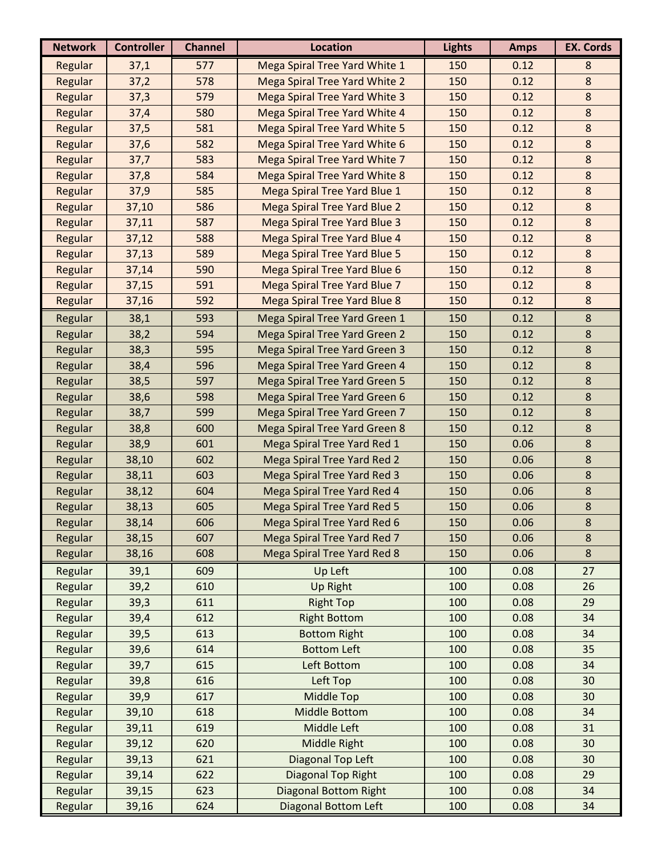| <b>Network</b> | <b>Controller</b> | <b>Channel</b> | <b>Location</b>                      | <b>Lights</b> | <b>Amps</b> | <b>EX. Cords</b> |
|----------------|-------------------|----------------|--------------------------------------|---------------|-------------|------------------|
| Regular        | 37,1              | 577            | Mega Spiral Tree Yard White 1        | 150           | 0.12        | 8                |
| Regular        | 37,2              | 578            | Mega Spiral Tree Yard White 2        | 150           | 0.12        | $\bf 8$          |
| Regular        | 37,3              | 579            | <b>Mega Spiral Tree Yard White 3</b> | 150           | 0.12        | $\bf 8$          |
| Regular        | 37,4              | 580            | Mega Spiral Tree Yard White 4        | 150           | 0.12        | $\bf 8$          |
| Regular        | 37,5              | 581            | Mega Spiral Tree Yard White 5        | 150           | 0.12        | $\bf 8$          |
| Regular        | 37,6              | 582            | Mega Spiral Tree Yard White 6        | 150           | 0.12        | $\bf 8$          |
| Regular        | 37,7              | 583            | Mega Spiral Tree Yard White 7        | 150           | 0.12        | $\bf 8$          |
| Regular        | 37,8              | 584            | <b>Mega Spiral Tree Yard White 8</b> | 150           | 0.12        | $\bf 8$          |
| Regular        | 37,9              | 585            | Mega Spiral Tree Yard Blue 1         | 150           | 0.12        | $8\phantom{1}$   |
| Regular        | 37,10             | 586            | Mega Spiral Tree Yard Blue 2         | 150           | 0.12        | $\bf 8$          |
| Regular        | 37,11             | 587            | <b>Mega Spiral Tree Yard Blue 3</b>  | 150           | 0.12        | $\bf 8$          |
| Regular        | 37,12             | 588            | Mega Spiral Tree Yard Blue 4         | 150           | 0.12        | $\bf 8$          |
| Regular        | 37,13             | 589            | <b>Mega Spiral Tree Yard Blue 5</b>  | 150           | 0.12        | $\bf 8$          |
| Regular        | 37,14             | 590            | Mega Spiral Tree Yard Blue 6         | 150           | 0.12        | $\bf 8$          |
| Regular        | 37,15             | 591            | Mega Spiral Tree Yard Blue 7         | 150           | 0.12        | $\bf 8$          |
| Regular        | 37,16             | 592            | <b>Mega Spiral Tree Yard Blue 8</b>  | 150           | 0.12        | $\bf 8$          |
| Regular        | 38,1              | 593            | Mega Spiral Tree Yard Green 1        | 150           | 0.12        | $\,8\,$          |
| Regular        | 38,2              | 594            | Mega Spiral Tree Yard Green 2        | 150           | 0.12        | 8                |
| Regular        | 38,3              | 595            | Mega Spiral Tree Yard Green 3        | 150           | 0.12        | $\bf 8$          |
| Regular        | 38,4              | 596            | Mega Spiral Tree Yard Green 4        | 150           | 0.12        | 8                |
| Regular        | 38,5              | 597            | <b>Mega Spiral Tree Yard Green 5</b> | 150           | 0.12        | 8                |
| Regular        | 38,6              | 598            | Mega Spiral Tree Yard Green 6        | 150           | 0.12        | $\bf 8$          |
| Regular        | 38,7              | 599            | Mega Spiral Tree Yard Green 7        | 150           | 0.12        | $\bf 8$          |
| Regular        | 38,8              | 600            | Mega Spiral Tree Yard Green 8        | 150           | 0.12        | $\bf 8$          |
| Regular        | 38,9              | 601            | Mega Spiral Tree Yard Red 1          | 150           | 0.06        | $\bf 8$          |
| Regular        | 38,10             | 602            | Mega Spiral Tree Yard Red 2          | 150           | 0.06        | $\bf 8$          |
| Regular        | 38,11             | 603            | Mega Spiral Tree Yard Red 3          | 150           | 0.06        | 8                |
| Regular        | 38,12             | 604            | Mega Spiral Tree Yard Red 4          | 150           | 0.06        | $\bf 8$          |
| Regular        | 38,13             | 605            | Mega Spiral Tree Yard Red 5          | 150           | 0.06        | $\bf 8$          |
| Regular        | 38,14             | 606            | Mega Spiral Tree Yard Red 6          | 150           | 0.06        | $\bf 8$          |
| Regular        | 38,15             | 607            | Mega Spiral Tree Yard Red 7          | 150           | 0.06        | $\bf 8$          |
| Regular        | 38,16             | 608            | Mega Spiral Tree Yard Red 8          | 150           | 0.06        | 8                |
| Regular        | 39,1              | 609            | Up Left                              | 100           | 0.08        | 27               |
| Regular        | 39,2              | 610            | <b>Up Right</b>                      | 100           | 0.08        | 26               |
| Regular        | 39,3              | 611            | <b>Right Top</b>                     | 100           | 0.08        | 29               |
| Regular        | 39,4              | 612            | <b>Right Bottom</b>                  | 100           | 0.08        | 34               |
| Regular        | 39,5              | 613            | <b>Bottom Right</b>                  | 100           | 0.08        | 34               |
| Regular        | 39,6              | 614            | <b>Bottom Left</b>                   | 100           | 0.08        | 35               |
| Regular        | 39,7              | 615            | Left Bottom                          | 100           | 0.08        | 34               |
| Regular        | 39,8              | 616            | Left Top                             | 100           | 0.08        | 30               |
| Regular        | 39,9              | 617            | Middle Top                           | 100           | 0.08        | 30               |
| Regular        | 39,10             | 618            | <b>Middle Bottom</b>                 | 100           | 0.08        | 34               |
| Regular        | 39,11             | 619            | Middle Left                          | 100           | 0.08        | 31               |
| Regular        | 39,12             | 620            | Middle Right                         | 100           | 0.08        | 30               |
| Regular        | 39,13             | 621            | Diagonal Top Left                    | 100           | 0.08        | 30               |
| Regular        | 39,14             | 622            | Diagonal Top Right                   | 100           | 0.08        | 29               |
| Regular        | 39,15             | 623            | <b>Diagonal Bottom Right</b>         | 100           | 0.08        | 34               |
| Regular        | 39,16             | 624            | <b>Diagonal Bottom Left</b>          | 100           | 0.08        | 34               |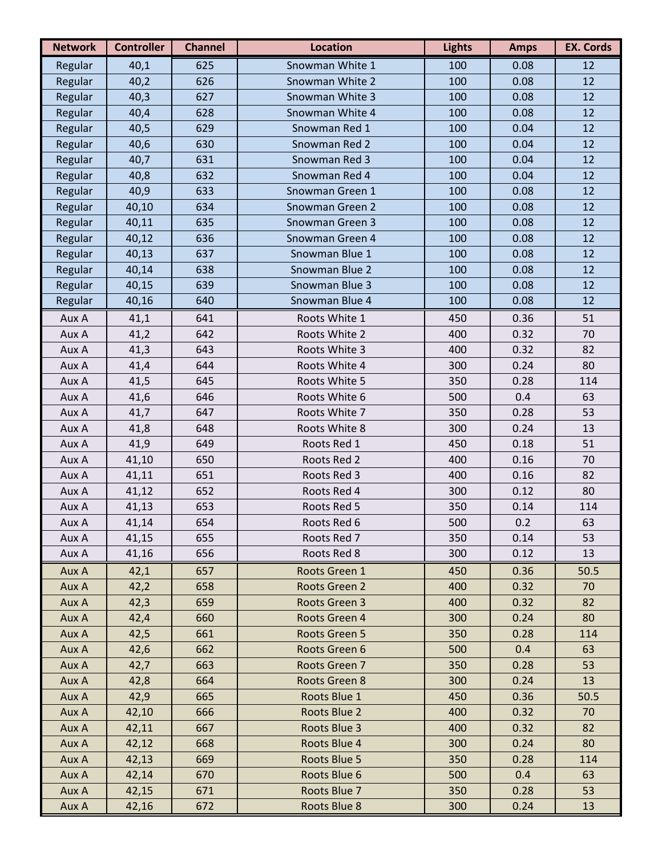| <b>Network</b> | <b>Controller</b> | <b>Channel</b> | <b>Location</b>        | <b>Lights</b> | <b>Amps</b> | <b>EX. Cords</b> |
|----------------|-------------------|----------------|------------------------|---------------|-------------|------------------|
| Regular        | 40,1              | 625            | Snowman White 1        | 100           | 0.08        | 12               |
| Regular        | 40,2              | 626            | Snowman White 2        | 100           | 0.08        | 12               |
| Regular        | 40,3              | 627            | Snowman White 3        | 100           | 0.08        | 12               |
| Regular        | 40,4              | 628            | Snowman White 4        | 100           | 0.08        | 12               |
| Regular        | 40,5              | 629            | Snowman Red 1          | 100           | 0.04        | 12               |
| Regular        | 40,6              | 630            | Snowman Red 2          | 100           | 0.04        | 12               |
| Regular        | 40,7              | 631            | Snowman Red 3          | 100           | 0.04        | 12               |
| Regular        | 40,8              | 632            | Snowman Red 4          | 100           | 0.04        | 12               |
| Regular        | 40,9              | 633            | Snowman Green 1        | 100           | 0.08        | 12               |
| Regular        | 40,10             | 634            | <b>Snowman Green 2</b> | 100           | 0.08        | 12               |
| Regular        | 40,11             | 635            | <b>Snowman Green 3</b> | 100           | 0.08        | 12               |
| Regular        | 40,12             | 636            | Snowman Green 4        | 100           | 0.08        | 12               |
| Regular        | 40,13             | 637            | Snowman Blue 1         | 100           | 0.08        | 12               |
| Regular        | 40,14             | 638            | Snowman Blue 2         | 100           | 0.08        | 12               |
| Regular        | 40,15             | 639            | Snowman Blue 3         | 100           | 0.08        | 12               |
| Regular        | 40,16             | 640            | Snowman Blue 4         | 100           | 0.08        | 12               |
| Aux A          | 41,1              | 641            | Roots White 1          | 450           | 0.36        | 51               |
| Aux A          | 41,2              | 642            | Roots White 2          | 400           | 0.32        | 70               |
| Aux A          | 41,3              | 643            | Roots White 3          | 400           | 0.32        | 82               |
| Aux A          | 41,4              | 644            | Roots White 4          | 300           | 0.24        | 80               |
| Aux A          | 41,5              | 645            | Roots White 5          | 350           | 0.28        | 114              |
| Aux A          | 41,6              | 646            | Roots White 6          | 500           | 0.4         | 63               |
| Aux A          | 41,7              | 647            | Roots White 7          | 350           | 0.28        | 53               |
| Aux A          | 41,8              | 648            | Roots White 8          | 300           | 0.24        | 13               |
| Aux A          | 41,9              | 649            | Roots Red 1            | 450           | 0.18        | 51               |
| Aux A          | 41,10             | 650            | Roots Red 2            | 400           | 0.16        | 70               |
| Aux A          | 41,11             | 651            | Roots Red 3            | 400           | 0.16        | 82               |
| Aux A          | 41,12             | 652            | Roots Red 4            | 300           | 0.12        | 80               |
| Aux A          | 41,13             | 653            | Roots Red 5            | 350           | 0.14        | 114              |
| Aux A          | 41,14             | 654            | Roots Red 6            | 500           | 0.2         | 63               |
| Aux A          | 41,15             | 655            | Roots Red 7            | 350           | 0.14        | 53               |
| Aux A          | 41,16             | 656            | Roots Red 8            | 300           | 0.12        | 13               |
| Aux A          | 42,1              | 657            | Roots Green 1          | 450           | 0.36        | 50.5             |
| Aux A          | 42,2              | 658            | Roots Green 2          | 400           | 0.32        | 70               |
| Aux A          | 42,3              | 659            | Roots Green 3          | 400           | 0.32        | 82               |
| Aux A          | 42,4              | 660            | Roots Green 4          | 300           | 0.24        | 80               |
| Aux A          | 42,5              | 661            | Roots Green 5          | 350           | 0.28        | 114              |
| Aux A          | 42,6              | 662            | Roots Green 6          | 500           | 0.4         | 63               |
| Aux A          | 42,7              | 663            | Roots Green 7          | 350           | 0.28        | 53               |
| Aux A          | 42,8              | 664            | Roots Green 8          | 300           | 0.24        | 13               |
| Aux A          | 42,9              | 665            | Roots Blue 1           | 450           | 0.36        | 50.5             |
| Aux A          | 42,10             | 666            | Roots Blue 2           | 400           | 0.32        | 70               |
| Aux A          | 42,11             | 667            | Roots Blue 3           | 400           | 0.32        | 82               |
| Aux A          | 42,12             | 668            | Roots Blue 4           | 300           | 0.24        | 80               |
| Aux A          | 42,13             | 669            | Roots Blue 5           | 350           | 0.28        | 114              |
| Aux A          | 42,14             | 670            | Roots Blue 6           | 500           | 0.4         | 63               |
| Aux A          | 42,15             | 671            | Roots Blue 7           | 350           | 0.28        | 53               |
| Aux A          | 42,16             | 672            | Roots Blue 8           | 300           | 0.24        | 13               |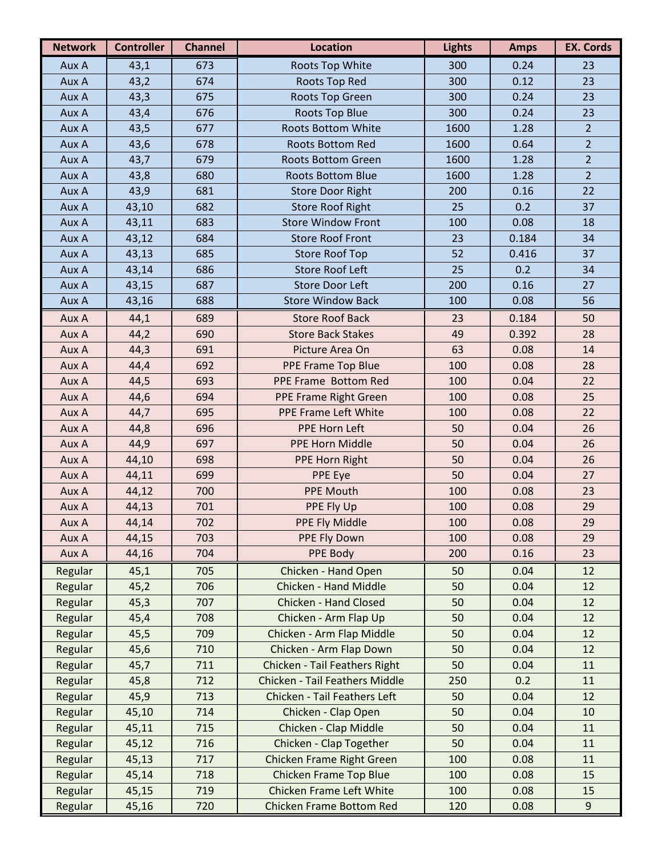| <b>Network</b> | <b>Controller</b> | <b>Channel</b> | <b>Location</b>                       | <b>Lights</b> | <b>Amps</b> | <b>EX. Cords</b> |
|----------------|-------------------|----------------|---------------------------------------|---------------|-------------|------------------|
| Aux A          | 43,1              | 673            | <b>Roots Top White</b>                | 300           | 0.24        | 23               |
| Aux A          | 43,2              | 674            | Roots Top Red                         | 300           | 0.12        | 23               |
| Aux A          | 43,3              | 675            | Roots Top Green                       | 300           | 0.24        | 23               |
| Aux A          | 43,4              | 676            | <b>Roots Top Blue</b>                 | 300           | 0.24        | 23               |
| Aux A          | 43,5              | 677            | <b>Roots Bottom White</b>             | 1600          | 1.28        | $\overline{2}$   |
| Aux A          | 43,6              | 678            | Roots Bottom Red                      | 1600          | 0.64        | $\overline{2}$   |
| Aux A          | 43,7              | 679            | <b>Roots Bottom Green</b>             | 1600          | 1.28        | $\overline{2}$   |
| Aux A          | 43,8              | 680            | <b>Roots Bottom Blue</b>              | 1600          | 1.28        | $\overline{2}$   |
| Aux A          | 43,9              | 681            | <b>Store Door Right</b>               | 200           | 0.16        | 22               |
| Aux A          | 43,10             | 682            | <b>Store Roof Right</b>               | 25            | 0.2         | 37               |
| Aux A          | 43,11             | 683            | <b>Store Window Front</b>             | 100           | 0.08        | 18               |
| Aux A          | 43,12             | 684            | <b>Store Roof Front</b>               | 23            | 0.184       | 34               |
| Aux A          | 43,13             | 685            | <b>Store Roof Top</b>                 | 52            | 0.416       | 37               |
| Aux A          | 43,14             | 686            | <b>Store Roof Left</b>                | 25            | 0.2         | 34               |
| Aux A          | 43,15             | 687            | <b>Store Door Left</b>                | 200           | 0.16        | 27               |
| Aux A          | 43,16             | 688            | <b>Store Window Back</b>              | 100           | 0.08        | 56               |
| Aux A          | 44,1              | 689            | <b>Store Roof Back</b>                | 23            | 0.184       | 50               |
| Aux A          | 44,2              | 690            | <b>Store Back Stakes</b>              | 49            | 0.392       | 28               |
| Aux A          | 44,3              | 691            | Picture Area On                       | 63            | 0.08        | 14               |
| Aux A          | 44,4              | 692            | PPE Frame Top Blue                    | 100           | 0.08        | 28               |
| Aux A          | 44,5              | 693            | PPE Frame Bottom Red                  | 100           | 0.04        | 22               |
| Aux A          | 44,6              | 694            | PPE Frame Right Green                 | 100           | 0.08        | 25               |
| Aux A          | 44,7              | 695            | PPE Frame Left White                  | 100           | 0.08        | 22               |
| Aux A          | 44,8              | 696            | PPE Horn Left                         | 50            | 0.04        | 26               |
| Aux A          | 44,9              | 697            | <b>PPE Horn Middle</b>                | 50            | 0.04        | 26               |
| Aux A          | 44,10             | 698            | PPE Horn Right                        | 50            | 0.04        | 26               |
| Aux A          | 44,11             | 699            | <b>PPE Eye</b>                        | 50            | 0.04        | 27               |
| Aux A          | 44,12             | 700            | <b>PPE Mouth</b>                      | 100           | 0.08        | 23               |
| Aux A          | 44,13             | 701            | PPE Fly Up                            | 100           | 0.08        | 29               |
| Aux A          | 44,14             | 702            | PPE Fly Middle                        | 100           | 0.08        | 29               |
| Aux A          | 44,15             | 703            | PPE Fly Down                          | 100           | 0.08        | 29               |
| Aux A          | 44,16             | 704            | PPE Body                              | 200           | 0.16        | 23               |
| Regular        | 45,1              | 705            | Chicken - Hand Open                   | 50            | 0.04        | 12               |
| Regular        | 45,2              | 706            | <b>Chicken - Hand Middle</b>          | 50            | 0.04        | 12               |
| Regular        | 45,3              | 707            | <b>Chicken - Hand Closed</b>          | 50            | 0.04        | 12               |
| Regular        | 45,4              | 708            | Chicken - Arm Flap Up                 | 50            | 0.04        | 12               |
| Regular        | 45,5              | 709            | Chicken - Arm Flap Middle             | 50            | 0.04        | 12               |
| Regular        | 45,6              | 710            | Chicken - Arm Flap Down               | 50            | 0.04        | 12               |
| Regular        | 45,7              | 711            | Chicken - Tail Feathers Right         | 50            | 0.04        | 11               |
| Regular        | 45,8              | 712            | <b>Chicken - Tail Feathers Middle</b> | 250           | 0.2         | 11               |
| Regular        | 45,9              | 713            | Chicken - Tail Feathers Left          | 50            | 0.04        | 12               |
| Regular        | 45,10             | 714            | Chicken - Clap Open                   | 50            | 0.04        | 10               |
| Regular        | 45,11             | 715            | Chicken - Clap Middle                 | 50            | 0.04        | 11               |
| Regular        | 45,12             | 716            | Chicken - Clap Together               | 50            | 0.04        | 11               |
| Regular        | 45,13             | 717            | <b>Chicken Frame Right Green</b>      | 100           | 0.08        | 11               |
| Regular        | 45,14             | 718            | <b>Chicken Frame Top Blue</b>         | 100           | 0.08        | 15               |
| Regular        | 45,15             | 719            | <b>Chicken Frame Left White</b>       | 100           | 0.08        | 15               |
| Regular        | 45,16             | 720            | <b>Chicken Frame Bottom Red</b>       | 120           | 0.08        | 9                |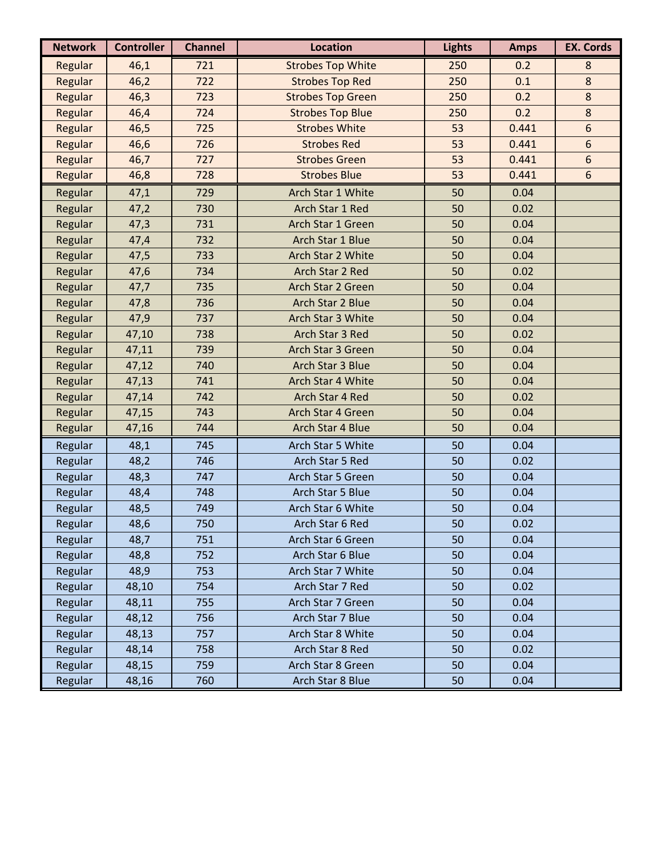| <b>Network</b> | <b>Controller</b> | <b>Channel</b> | <b>Location</b>          | <b>Lights</b> | <b>Amps</b> | <b>EX. Cords</b> |
|----------------|-------------------|----------------|--------------------------|---------------|-------------|------------------|
| Regular        | 46,1              | 721            | <b>Strobes Top White</b> | 250           | 0.2         | 8                |
| Regular        | 46,2              | 722            | <b>Strobes Top Red</b>   | 250           | 0.1         | $\bf 8$          |
| Regular        | 46,3              | 723            | <b>Strobes Top Green</b> | 250           | 0.2         | $\bf 8$          |
| Regular        | 46,4              | 724            | <b>Strobes Top Blue</b>  | 250           | 0.2         | $\bf 8$          |
| Regular        | 46,5              | 725            | <b>Strobes White</b>     | 53            | 0.441       | 6                |
| Regular        | 46,6              | 726            | <b>Strobes Red</b>       | 53            | 0.441       | 6                |
| Regular        | 46,7              | 727            | <b>Strobes Green</b>     | 53            | 0.441       | 6                |
| Regular        | 46,8              | 728            | <b>Strobes Blue</b>      | 53            | 0.441       | 6                |
| Regular        | 47,1              | 729            | Arch Star 1 White        | 50            | 0.04        |                  |
| Regular        | 47,2              | 730            | Arch Star 1 Red          | 50            | 0.02        |                  |
| Regular        | 47,3              | 731            | Arch Star 1 Green        | 50            | 0.04        |                  |
| Regular        | 47,4              | 732            | Arch Star 1 Blue         | 50            | 0.04        |                  |
| Regular        | 47,5              | 733            | Arch Star 2 White        | 50            | 0.04        |                  |
| Regular        | 47,6              | 734            | Arch Star 2 Red          | 50            | 0.02        |                  |
| Regular        | 47,7              | 735            | Arch Star 2 Green        | 50            | 0.04        |                  |
| Regular        | 47,8              | 736            | Arch Star 2 Blue         | 50            | 0.04        |                  |
| Regular        | 47,9              | 737            | Arch Star 3 White        | 50            | 0.04        |                  |
| Regular        | 47,10             | 738            | Arch Star 3 Red          | 50            | 0.02        |                  |
| Regular        | 47,11             | 739            | Arch Star 3 Green        | 50            | 0.04        |                  |
| Regular        | 47,12             | 740            | Arch Star 3 Blue         | 50            | 0.04        |                  |
| Regular        | 47,13             | 741            | Arch Star 4 White        | 50            | 0.04        |                  |
| Regular        | 47,14             | 742            | Arch Star 4 Red          | 50            | 0.02        |                  |
| Regular        | 47,15             | 743            | Arch Star 4 Green        | 50            | 0.04        |                  |
| Regular        | 47,16             | 744            | Arch Star 4 Blue         | 50            | 0.04        |                  |
| Regular        | 48,1              | 745            | Arch Star 5 White        | 50            | 0.04        |                  |
| Regular        | 48,2              | 746            | Arch Star 5 Red          | 50            | 0.02        |                  |
| Regular        | 48,3              | 747            | Arch Star 5 Green        | 50            | 0.04        |                  |
| Regular        | 48,4              | 748            | Arch Star 5 Blue         | 50            | 0.04        |                  |
| Regular        | 48,5              | 749            | Arch Star 6 White        | 50            | 0.04        |                  |
| Regular        | 48,6              | 750            | Arch Star 6 Red          | 50            | 0.02        |                  |
| Regular        | 48,7              | 751            | Arch Star 6 Green        | 50            | 0.04        |                  |
| Regular        | 48,8              | 752            | Arch Star 6 Blue         | 50            | 0.04        |                  |
| Regular        | 48,9              | 753            | Arch Star 7 White        | 50            | 0.04        |                  |
| Regular        | 48,10             | 754            | Arch Star 7 Red          | 50            | 0.02        |                  |
| Regular        | 48,11             | 755            | Arch Star 7 Green        | 50            | 0.04        |                  |
| Regular        | 48,12             | 756            | Arch Star 7 Blue         | 50            | 0.04        |                  |
| Regular        | 48,13             | 757            | Arch Star 8 White        | 50            | 0.04        |                  |
| Regular        | 48,14             | 758            | Arch Star 8 Red          | 50            | 0.02        |                  |
| Regular        | 48,15             | 759            | Arch Star 8 Green        | 50            | 0.04        |                  |
| Regular        | 48,16             | 760            | Arch Star 8 Blue         | 50            | 0.04        |                  |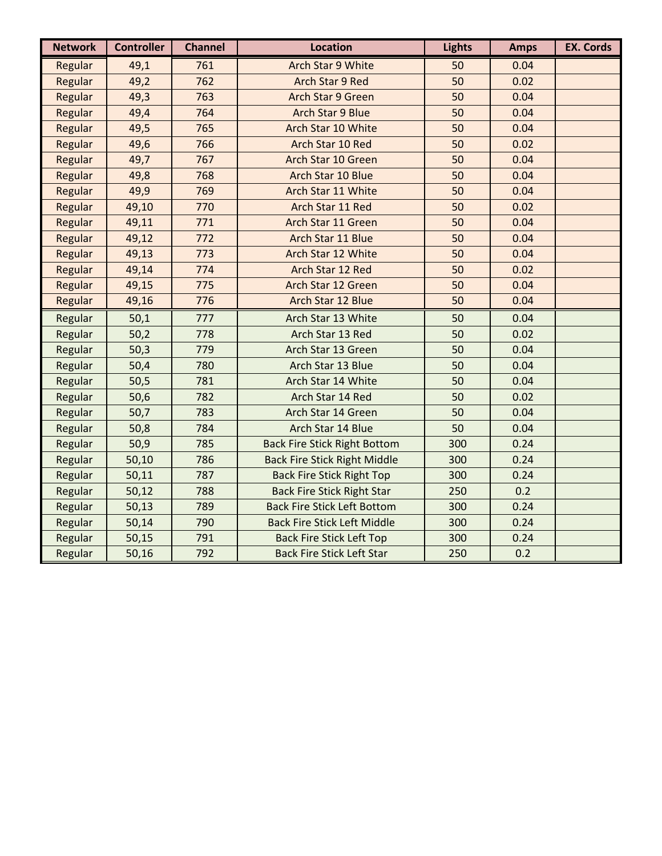| <b>Network</b> | <b>Controller</b> | <b>Channel</b> | <b>Location</b>                     | <b>Lights</b> | <b>Amps</b> | <b>EX. Cords</b> |
|----------------|-------------------|----------------|-------------------------------------|---------------|-------------|------------------|
| Regular        | 49,1              | 761            | Arch Star 9 White                   | 50            | 0.04        |                  |
| Regular        | 49,2              | 762            | <b>Arch Star 9 Red</b>              | 50            | 0.02        |                  |
| Regular        | 49,3              | 763            | <b>Arch Star 9 Green</b>            | 50            | 0.04        |                  |
| Regular        | 49,4              | 764            | <b>Arch Star 9 Blue</b>             | 50            | 0.04        |                  |
| Regular        | 49,5              | 765            | Arch Star 10 White                  | 50            | 0.04        |                  |
| Regular        | 49,6              | 766            | Arch Star 10 Red                    | 50            | 0.02        |                  |
| Regular        | 49,7              | 767            | Arch Star 10 Green                  | 50            | 0.04        |                  |
| Regular        | 49,8              | 768            | Arch Star 10 Blue                   | 50            | 0.04        |                  |
| Regular        | 49,9              | 769            | Arch Star 11 White                  | 50            | 0.04        |                  |
| Regular        | 49,10             | 770            | Arch Star 11 Red                    | 50            | 0.02        |                  |
| Regular        | 49,11             | 771            | Arch Star 11 Green                  | 50            | 0.04        |                  |
| Regular        | 49,12             | 772            | Arch Star 11 Blue                   | 50            | 0.04        |                  |
| Regular        | 49,13             | 773            | Arch Star 12 White                  | 50            | 0.04        |                  |
| Regular        | 49,14             | 774            | Arch Star 12 Red                    | 50            | 0.02        |                  |
| Regular        | 49,15             | 775            | Arch Star 12 Green                  | 50            | 0.04        |                  |
| Regular        | 49,16             | 776            | Arch Star 12 Blue                   | 50            | 0.04        |                  |
| Regular        | 50,1              | 777            | Arch Star 13 White                  | 50            | 0.04        |                  |
| Regular        | 50,2              | 778            | Arch Star 13 Red                    | 50            | 0.02        |                  |
| Regular        | 50,3              | 779            | Arch Star 13 Green                  | 50            | 0.04        |                  |
| Regular        | 50,4              | 780            | Arch Star 13 Blue                   | 50            | 0.04        |                  |
| Regular        | 50,5              | 781            | Arch Star 14 White                  | 50            | 0.04        |                  |
| Regular        | 50,6              | 782            | Arch Star 14 Red                    | 50            | 0.02        |                  |
| Regular        | 50,7              | 783            | Arch Star 14 Green                  | 50            | 0.04        |                  |
| Regular        | 50,8              | 784            | Arch Star 14 Blue                   | 50            | 0.04        |                  |
| Regular        | 50,9              | 785            | <b>Back Fire Stick Right Bottom</b> | 300           | 0.24        |                  |
| Regular        | 50,10             | 786            | <b>Back Fire Stick Right Middle</b> | 300           | 0.24        |                  |
| Regular        | 50,11             | 787            | <b>Back Fire Stick Right Top</b>    | 300           | 0.24        |                  |
| Regular        | 50,12             | 788            | <b>Back Fire Stick Right Star</b>   | 250           | 0.2         |                  |
| Regular        | 50,13             | 789            | <b>Back Fire Stick Left Bottom</b>  | 300           | 0.24        |                  |
| Regular        | 50,14             | 790            | <b>Back Fire Stick Left Middle</b>  | 300           | 0.24        |                  |
| Regular        | 50,15             | 791            | <b>Back Fire Stick Left Top</b>     | 300           | 0.24        |                  |
| Regular        | 50,16             | 792            | <b>Back Fire Stick Left Star</b>    | 250           | 0.2         |                  |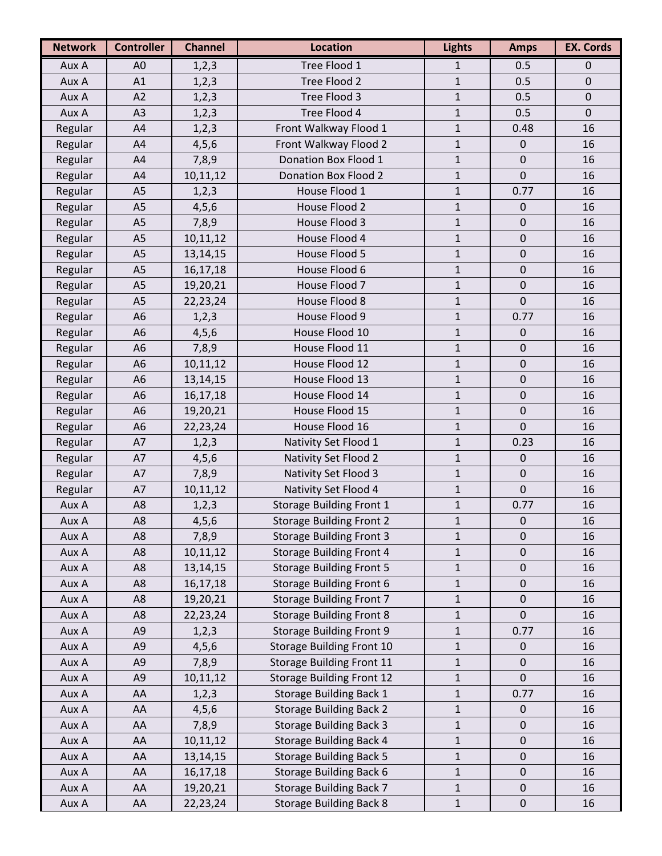| <b>Network</b> | <b>Controller</b> | <b>Channel</b> | <b>Location</b>                  | <b>Lights</b> | <b>Amps</b>      | <b>EX. Cords</b> |
|----------------|-------------------|----------------|----------------------------------|---------------|------------------|------------------|
| Aux A          | A <sub>0</sub>    | 1, 2, 3        | Tree Flood 1                     | $\mathbf{1}$  | 0.5              | 0                |
| Aux A          | A1                | 1, 2, 3        | Tree Flood 2                     | $\mathbf{1}$  | 0.5              | $\mathbf 0$      |
| Aux A          | A2                | 1, 2, 3        | Tree Flood 3                     | $\mathbf{1}$  | 0.5              | $\mathbf 0$      |
| Aux A          | A <sub>3</sub>    | 1, 2, 3        | Tree Flood 4                     | $\mathbf{1}$  | 0.5              | $\mathbf 0$      |
| Regular        | A4                | 1, 2, 3        | Front Walkway Flood 1            | $\mathbf 1$   | 0.48             | 16               |
| Regular        | A4                | 4, 5, 6        | Front Walkway Flood 2            | $\mathbf 1$   | $\boldsymbol{0}$ | 16               |
| Regular        | A4                | 7,8,9          | Donation Box Flood 1             | $\mathbf{1}$  | $\mathbf 0$      | 16               |
| Regular        | A4                | 10,11,12       | Donation Box Flood 2             | $\mathbf{1}$  | $\mathbf 0$      | 16               |
| Regular        | A <sub>5</sub>    | 1, 2, 3        | House Flood 1                    | $\mathbf{1}$  | 0.77             | 16               |
| Regular        | A <sub>5</sub>    | 4, 5, 6        | House Flood 2                    | $\mathbf{1}$  | $\pmb{0}$        | 16               |
| Regular        | A <sub>5</sub>    | 7,8,9          | House Flood 3                    | $\mathbf 1$   | $\boldsymbol{0}$ | 16               |
| Regular        | A <sub>5</sub>    | 10,11,12       | House Flood 4                    | $\mathbf{1}$  | $\mathbf 0$      | 16               |
| Regular        | A <sub>5</sub>    | 13, 14, 15     | House Flood 5                    | $\mathbf{1}$  | $\boldsymbol{0}$ | 16               |
| Regular        | A <sub>5</sub>    | 16,17,18       | House Flood 6                    | $\mathbf{1}$  | $\boldsymbol{0}$ | 16               |
| Regular        | A <sub>5</sub>    | 19,20,21       | House Flood 7                    | $\mathbf{1}$  | $\boldsymbol{0}$ | 16               |
| Regular        | A <sub>5</sub>    | 22, 23, 24     | House Flood 8                    | $\mathbf{1}$  | $\mathbf 0$      | 16               |
| Regular        | A <sub>6</sub>    | 1, 2, 3        | House Flood 9                    | $\mathbf{1}$  | 0.77             | 16               |
| Regular        | A <sub>6</sub>    | 4, 5, 6        | House Flood 10                   | $\mathbf{1}$  | $\boldsymbol{0}$ | 16               |
| Regular        | A <sub>6</sub>    | 7,8,9          | House Flood 11                   | $\mathbf 1$   | $\boldsymbol{0}$ | 16               |
| Regular        | A <sub>6</sub>    | 10,11,12       | House Flood 12                   | $\mathbf{1}$  | $\pmb{0}$        | 16               |
| Regular        | A <sub>6</sub>    | 13, 14, 15     | House Flood 13                   | $\mathbf{1}$  | $\mathbf 0$      | 16               |
| Regular        | A <sub>6</sub>    | 16,17,18       | House Flood 14                   | $\mathbf{1}$  | $\mathbf 0$      | 16               |
| Regular        | A <sub>6</sub>    | 19,20,21       | House Flood 15                   | $\mathbf{1}$  | $\boldsymbol{0}$ | 16               |
| Regular        | A <sub>6</sub>    | 22,23,24       | House Flood 16                   | $\mathbf 1$   | $\mathbf 0$      | 16               |
| Regular        | A7                | 1, 2, 3        | Nativity Set Flood 1             | $\mathbf{1}$  | 0.23             | 16               |
| Regular        | A7                | 4, 5, 6        | Nativity Set Flood 2             | $\mathbf{1}$  | $\boldsymbol{0}$ | 16               |
| Regular        | A7                | 7,8,9          | Nativity Set Flood 3             | $\mathbf{1}$  | $\mathbf 0$      | 16               |
| Regular        | A7                | 10,11,12       | Nativity Set Flood 4             | $\mathbf{1}$  | $\overline{0}$   | 16               |
| Aux A          | A <sub>8</sub>    | 1, 2, 3        | <b>Storage Building Front 1</b>  | $\mathbf{1}$  | 0.77             | 16               |
| Aux A          | A <sub>8</sub>    | 4, 5, 6        | <b>Storage Building Front 2</b>  | $\mathbf 1$   | $\mathbf 0$      | 16               |
| Aux A          | A <sub>8</sub>    | 7,8,9          | <b>Storage Building Front 3</b>  | $\mathbf 1$   | $\boldsymbol{0}$ | 16               |
| Aux A          | A <sub>8</sub>    | 10,11,12       | <b>Storage Building Front 4</b>  | 1             | $\boldsymbol{0}$ | 16               |
| Aux A          | A <sub>8</sub>    | 13,14,15       | <b>Storage Building Front 5</b>  | 1             | $\boldsymbol{0}$ | 16               |
| Aux A          | A <sub>8</sub>    | 16,17,18       | Storage Building Front 6         | 1             | $\boldsymbol{0}$ | 16               |
| Aux A          | A <sub>8</sub>    | 19,20,21       | <b>Storage Building Front 7</b>  | 1             | $\boldsymbol{0}$ | 16               |
| Aux A          | A8                | 22, 23, 24     | <b>Storage Building Front 8</b>  | $\mathbf 1$   | $\boldsymbol{0}$ | 16               |
| Aux A          | A <sub>9</sub>    | 1, 2, 3        | <b>Storage Building Front 9</b>  | $\mathbf{1}$  | 0.77             | 16               |
| Aux A          | A <sub>9</sub>    | 4, 5, 6        | <b>Storage Building Front 10</b> | $\mathbf{1}$  | $\boldsymbol{0}$ | 16               |
| Aux A          | A <sub>9</sub>    | 7,8,9          | <b>Storage Building Front 11</b> | 1             | $\boldsymbol{0}$ | 16               |
| Aux A          | A <sub>9</sub>    | 10,11,12       | <b>Storage Building Front 12</b> | $\mathbf{1}$  | $\Omega$         | 16               |
| Aux A          | AA                | 1, 2, 3        | <b>Storage Building Back 1</b>   | 1             | 0.77             | 16               |
| Aux A          | AA                | 4, 5, 6        | <b>Storage Building Back 2</b>   | $\mathbf{1}$  | $\boldsymbol{0}$ | 16               |
| Aux A          | AA                | 7,8,9          | <b>Storage Building Back 3</b>   | $\mathbf 1$   | $\boldsymbol{0}$ | 16               |
| Aux A          | AA                | 10,11,12       | <b>Storage Building Back 4</b>   | 1             | $\boldsymbol{0}$ | 16               |
| Aux A          | AA                | 13,14,15       | <b>Storage Building Back 5</b>   | $\mathbf{1}$  | $\boldsymbol{0}$ | 16               |
| Aux A          | AA                | 16,17,18       | Storage Building Back 6          | 1             | $\boldsymbol{0}$ | 16               |
| Aux A          | AA                | 19,20,21       | Storage Building Back 7          | $\mathbf{1}$  | $\boldsymbol{0}$ | 16               |
| Aux A          | AA                | 22,23,24       | <b>Storage Building Back 8</b>   | $\mathbf{1}$  | $\pmb{0}$        | 16               |